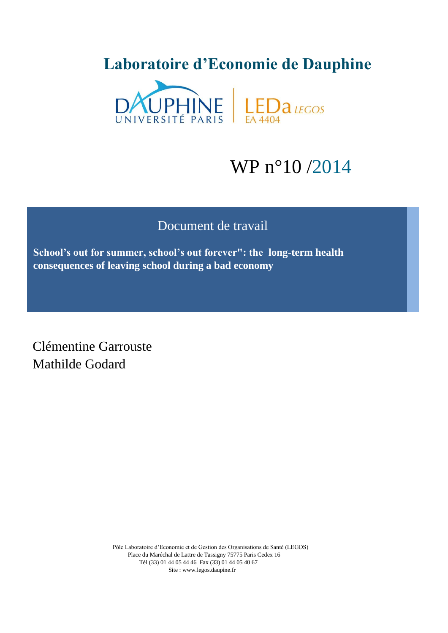# **Laboratoire d'Economie de Dauphine**



# WP n°10 /2014

# Document de travail

**School's out for summer, school's out forever": the long-term health consequences of leaving school during a bad economy**

Clémentine Garrouste Mathilde Godard

> Pôle Laboratoire d'Economie et de Gestion des Organisations de Santé (LEGOS) Place du Maréchal de Lattre de Tassigny 75775 Paris Cedex 16 Tél (33) 01 44 05 44 46 Fax (33) 01 44 05 40 67 Site : www.legos.daupine.fr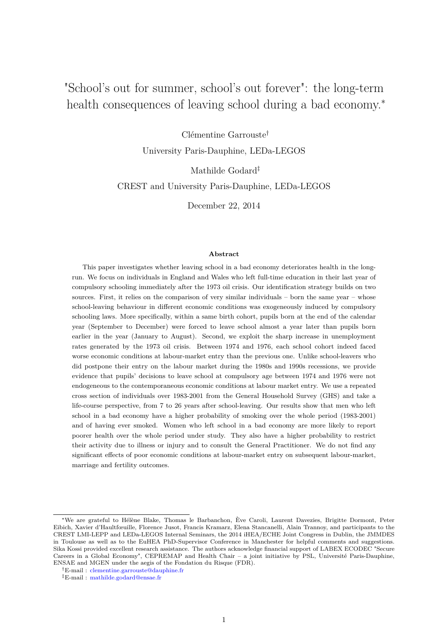# <span id="page-1-0"></span>"School's out for summer, school's out forever": the long-term health consequences of leaving school during a bad economy.<sup>\*</sup>

Clémentine Garrouste†

University Paris-Dauphine, LEDa-LEGOS

Mathilde Godard‡

CREST and University Paris-Dauphine, LEDa-LEGOS

December 22, 2014

### **Abstract**

This paper investigates whether leaving school in a bad economy deteriorates health in the longrun. We focus on individuals in England and Wales who left full-time education in their last year of compulsory schooling immediately after the 1973 oil crisis. Our identification strategy builds on two sources. First, it relies on the comparison of very similar individuals – born the same year – whose school-leaving behaviour in different economic conditions was exogeneously induced by compulsory schooling laws. More specifically, within a same birth cohort, pupils born at the end of the calendar year (September to December) were forced to leave school almost a year later than pupils born earlier in the year (January to August). Second, we exploit the sharp increase in unemployment rates generated by the 1973 oil crisis. Between 1974 and 1976, each school cohort indeed faced worse economic conditions at labour-market entry than the previous one. Unlike school-leavers who did postpone their entry on the labour market during the 1980s and 1990s recessions, we provide evidence that pupils' decisions to leave school at compulsory age between 1974 and 1976 were not endogeneous to the contemporaneous economic conditions at labour market entry. We use a repeated cross section of individuals over 1983-2001 from the General Household Survey (GHS) and take a life-course perspective, from 7 to 26 years after school-leaving. Our results show that men who left school in a bad economy have a higher probability of smoking over the whole period (1983-2001) and of having ever smoked. Women who left school in a bad economy are more likely to report poorer health over the whole period under study. They also have a higher probability to restrict their activity due to illness or injury and to consult the General Practitioner. We do not find any significant effects of poor economic conditions at labour-market entry on subsequent labour-market, marriage and fertility outcomes.

<sup>∗</sup>We are grateful to Hélène Blake, Thomas le Barbanchon, Ève Caroli, Laurent Davezies, Brigitte Dormont, Peter Eibich, Xavier d'Haultfœuille, Florence Jusot, Francis Kramarz, Elena Stancanelli, Alain Trannoy, and participants to the CREST LMI-LEPP and LEDa-LEGOS Internal Seminars, the 2014 iHEA/ECHE Joint Congress in Dublin, the JMMDES in Toulouse as well as to the EuHEA PhD-Supervisor Conference in Manchester for helpful comments and suggestions. Sika Kossi provided excellent research assistance. The authors acknowledge financial support of LABEX ECODEC "Secure Careers in a Global Economy", CEPREMAP and Health Chair – a joint initiative by PSL, Université Paris-Dauphine, ENSAE and MGEN under the aegis of the Fondation du Risque (FDR).

<sup>†</sup>E-mail : clementine.garrouste@dauphine.fr

<sup>‡</sup>E-mail : mathilde.godard@ensae.fr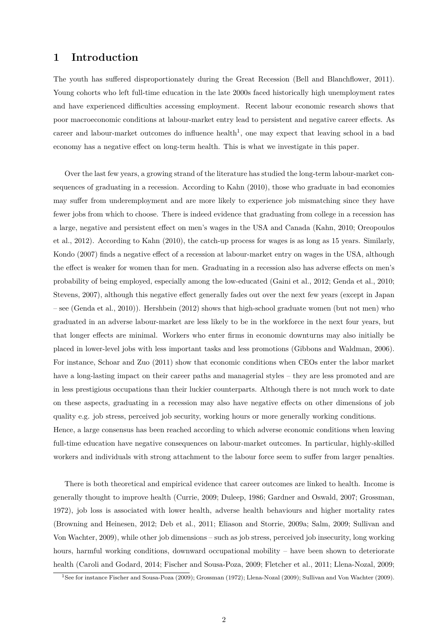# **1 Introduction**

The youth has suffered disproportionately during the Great Recession [\(Bell and Blanchflower,](#page-19-0) [2011\)](#page-19-0). Young cohorts who left full-time education in the late 2000s faced historically high unemployment rates and have experienced difficulties accessing employment. Recent labour economic research shows that poor macroeconomic conditions at labour-market entry lead to persistent and negative career effects. As career and labour-market outcomes do influence health<sup>[1](#page-1-0)</sup>, one may expect that leaving school in a bad economy has a negative effect on long-term health. This is what we investigate in this paper.

Over the last few years, a growing strand of the literature has studied the long-term labour-market consequences of graduating in a recession. According to [Kahn](#page-22-0) [\(2010\)](#page-22-0), those who graduate in bad economies may suffer from underemployment and are more likely to experience job mismatching since they have fewer jobs from which to choose. There is indeed evidence that graduating from college in a recession has a large, negative and persistent effect on men's wages in the USA and Canada [\(Kahn,](#page-22-0) [2010;](#page-22-0) [Oreopoulos](#page-23-0) [et al.,](#page-23-0) [2012\)](#page-23-0). According to [Kahn](#page-22-0) [\(2010\)](#page-22-0), the catch-up process for wages is as long as 15 years. Similarly, [Kondo](#page-22-1) [\(2007\)](#page-22-1) finds a negative effect of a recession at labour-market entry on wages in the USA, although the effect is weaker for women than for men. Graduating in a recession also has adverse effects on men's probability of being employed, especially among the low-educated [\(Gaini et al.,](#page-21-0) [2012;](#page-21-0) [Genda et al.,](#page-21-1) [2010;](#page-21-1) [Stevens,](#page-24-0) [2007\)](#page-24-0), although this negative effect generally fades out over the next few years (except in Japan – see [\(Genda et al.,](#page-21-1) [2010\)](#page-21-1)). [Hershbein](#page-22-2) [\(2012\)](#page-22-2) shows that high-school graduate women (but not men) who graduated in an adverse labour-market are less likely to be in the workforce in the next four years, but that longer effects are minimal. Workers who enter firms in economic downturns may also initially be placed in lower-level jobs with less important tasks and less promotions [\(Gibbons and Waldman,](#page-21-2) [2006\)](#page-21-2). For instance, [Schoar and Zuo](#page-23-1) [\(2011\)](#page-23-1) show that economic conditions when CEOs enter the labor market have a long-lasting impact on their career paths and managerial styles – they are less promoted and are in less prestigious occupations than their luckier counterparts. Although there is not much work to date on these aspects, graduating in a recession may also have negative effects on other dimensions of job quality e.g. job stress, perceived job security, working hours or more generally working conditions. Hence, a large consensus has been reached according to which adverse economic conditions when leaving full-time education have negative consequences on labour-market outcomes. In particular, highly-skilled workers and individuals with strong attachment to the labour force seem to suffer from larger penalties.

There is both theoretical and empirical evidence that career outcomes are linked to health. Income is generally thought to improve health [\(Currie,](#page-20-0) [2009;](#page-20-0) [Duleep,](#page-20-1) [1986;](#page-20-1) [Gardner and Oswald,](#page-21-3) [2007;](#page-21-3) [Grossman,](#page-21-4) [1972\)](#page-21-4), job loss is associated with lower health, adverse health behaviours and higher mortality rates [\(Browning and Heinesen,](#page-19-1) [2012;](#page-19-1) [Deb et al.,](#page-20-2) [2011;](#page-20-2) [Eliason and Storrie,](#page-20-3) [2009a;](#page-20-3) [Salm,](#page-23-2) [2009;](#page-23-2) [Sullivan and](#page-24-1) [Von Wachter,](#page-24-1) [2009\)](#page-24-1), while other job dimensions – such as job stress, perceived job insecurity, long working hours, harmful working conditions, downward occupational mobility – have been shown to deteriorate health [\(Caroli and Godard,](#page-19-2) [2014;](#page-19-2) [Fischer and Sousa-Poza,](#page-21-5) [2009;](#page-22-3) [Fletcher et al.,](#page-21-6) [2011;](#page-21-6) [Llena-Nozal,](#page-22-3) 2009;

<sup>&</sup>lt;sup>1</sup>See for instance [Fischer and Sousa-Poza](#page-21-5) [\(2009\)](#page-24-1); [Grossman](#page-21-4) [\(1972\)](#page-21-4); [Llena-Nozal](#page-22-3) (2009); [Sullivan and Von Wachter](#page-24-1) (2009).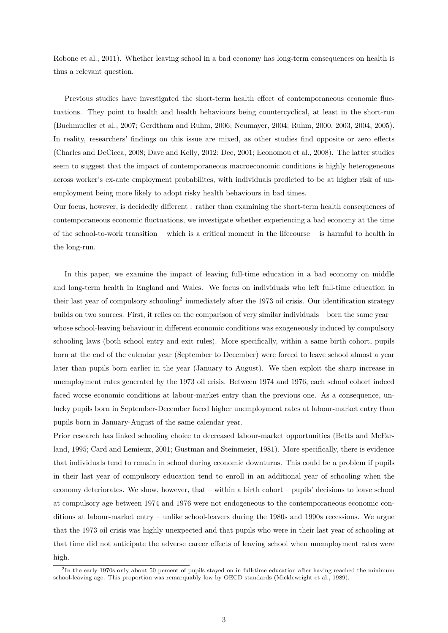[Robone et al.,](#page-23-3) [2011\)](#page-23-3). Whether leaving school in a bad economy has long-term consequences on health is thus a relevant question.

Previous studies have investigated the short-term health effect of contemporaneous economic fluctuations. They point to health and health behaviours being countercyclical, at least in the short-run [\(Buchmueller et al.,](#page-19-3) [2007;](#page-19-3) [Gerdtham and Ruhm,](#page-21-7) [2006;](#page-21-7) [Neumayer,](#page-23-4) [2004;](#page-23-4) [Ruhm,](#page-23-5) [2000,](#page-23-5) [2003,](#page-23-6) [2004,](#page-23-7) [2005\)](#page-23-8). In reality, researchers' findings on this issue are mixed, as other studies find opposite or zero effects [\(Charles and DeCicca,](#page-20-4) [2008;](#page-20-4) [Dave and Kelly,](#page-20-5) [2012;](#page-20-5) [Dee,](#page-20-6) [2001;](#page-20-6) [Economou et al.,](#page-20-7) [2008\)](#page-20-7). The latter studies seem to suggest that the impact of contemporaneous macroeconomic conditions is highly heterogeneous across worker's ex-ante employment probabilites, with individuals predicted to be at higher risk of unemployment being more likely to adopt risky health behaviours in bad times.

Our focus, however, is decidedly different : rather than examining the short-term health consequences of contemporaneous economic fluctuations, we investigate whether experiencing a bad economy at the time of the school-to-work transition – which is a critical moment in the lifecourse – is harmful to health in the long-run.

In this paper, we examine the impact of leaving full-time education in a bad economy on middle and long-term health in England and Wales. We focus on individuals who left full-time education in their last year of compulsory schooling<sup>[2](#page-1-0)</sup> immediately after the 1973 oil crisis. Our identification strategy builds on two sources. First, it relies on the comparison of very similar individuals – born the same year – whose school-leaving behaviour in different economic conditions was exogeneously induced by compulsory schooling laws (both school entry and exit rules). More specifically, within a same birth cohort, pupils born at the end of the calendar year (September to December) were forced to leave school almost a year later than pupils born earlier in the year (January to August). We then exploit the sharp increase in unemployment rates generated by the 1973 oil crisis. Between 1974 and 1976, each school cohort indeed faced worse economic conditions at labour-market entry than the previous one. As a consequence, unlucky pupils born in September-December faced higher unemployment rates at labour-market entry than pupils born in January-August of the same calendar year.

Prior research has linked schooling choice to decreased labour-market opportunities [\(Betts and McFar](#page-19-4)[land,](#page-19-4) [1995;](#page-19-4) [Card and Lemieux,](#page-19-5) [2001;](#page-19-5) [Gustman and Steinmeier,](#page-21-8) [1981\)](#page-21-8). More specifically, there is evidence that individuals tend to remain in school during economic downturns. This could be a problem if pupils in their last year of compulsory education tend to enroll in an additional year of schooling when the economy deteriorates. We show, however, that – within a birth cohort – pupils' decisions to leave school at compulsory age between 1974 and 1976 were not endogeneous to the contemporaneous economic conditions at labour-market entry – unlike school-leavers during the 1980s and 1990s recessions. We argue that the 1973 oil crisis was highly unexpected and that pupils who were in their last year of schooling at that time did not anticipate the adverse career effects of leaving school when unemployment rates were high.

 $^{2}$ In the early 1970s only about 50 percent of pupils stayed on in full-time education after having reached the minimum school-leaving age. This proportion was remarquably low by OECD standards [\(Micklewright et al.,](#page-23-9) [1989\)](#page-23-9).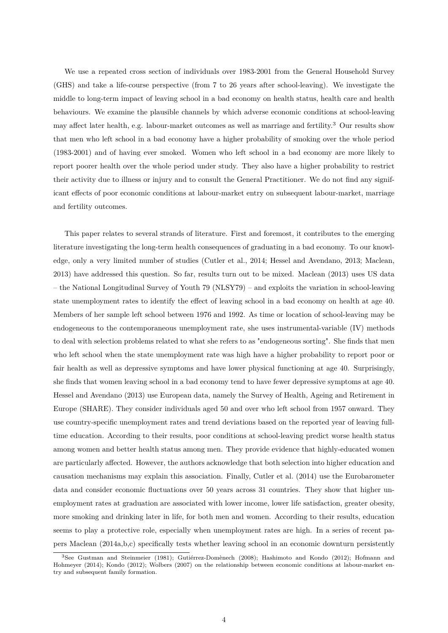We use a repeated cross section of individuals over 1983-2001 from the General Household Survey (GHS) and take a life-course perspective (from 7 to 26 years after school-leaving). We investigate the middle to long-term impact of leaving school in a bad economy on health status, health care and health behaviours. We examine the plausible channels by which adverse economic conditions at school-leaving may affect later health, e.g. labour-market outcomes as well as marriage and fertility.[3](#page-1-0) Our results show that men who left school in a bad economy have a higher probability of smoking over the whole period (1983-2001) and of having ever smoked. Women who left school in a bad economy are more likely to report poorer health over the whole period under study. They also have a higher probability to restrict their activity due to illness or injury and to consult the General Practitioner. We do not find any significant effects of poor economic conditions at labour-market entry on subsequent labour-market, marriage and fertility outcomes.

This paper relates to several strands of literature. First and foremost, it contributes to the emerging literature investigating the long-term health consequences of graduating in a bad economy. To our knowledge, only a very limited number of studies [\(Cutler et al.,](#page-20-8) [2014;](#page-20-8) [Hessel and Avendano,](#page-22-4) [2013;](#page-22-4) [Maclean,](#page-22-5) [2013\)](#page-22-5) have addressed this question. So far, results turn out to be mixed. [Maclean](#page-22-5) [\(2013\)](#page-22-5) uses US data – the National Longitudinal Survey of Youth 79 (NLSY79) – and exploits the variation in school-leaving state unemployment rates to identify the effect of leaving school in a bad economy on health at age 40. Members of her sample left school between 1976 and 1992. As time or location of school-leaving may be endogeneous to the contemporaneous unemployment rate, she uses instrumental-variable (IV) methods to deal with selection problems related to what she refers to as "endogeneous sorting". She finds that men who left school when the state unemployment rate was high have a higher probability to report poor or fair health as well as depressive symptoms and have lower physical functioning at age 40. Surprisingly, she finds that women leaving school in a bad economy tend to have fewer depressive symptoms at age 40. [Hessel and Avendano](#page-22-4) [\(2013\)](#page-22-4) use European data, namely the Survey of Health, Ageing and Retirement in Europe (SHARE). They consider individuals aged 50 and over who left school from 1957 onward. They use country-specific unemployment rates and trend deviations based on the reported year of leaving fulltime education. According to their results, poor conditions at school-leaving predict worse health status among women and better health status among men. They provide evidence that highly-educated women are particularly affected. However, the authors acknowledge that both selection into higher education and causation mechanisms may explain this association. Finally, [Cutler et al.](#page-20-8) [\(2014\)](#page-20-8) use the Eurobarometer data and consider economic fluctuations over 50 years across 31 countries. They show that higher unemployment rates at graduation are associated with lower income, lower life satisfaction, greater obesity, more smoking and drinking later in life, for both men and women. According to their results, education seems to play a protective role, especially when unemployment rates are high. In a series of recent papers [Maclean](#page-22-6) [\(2014a,](#page-22-6)[b,](#page-22-7)[c\)](#page-22-8) specifically tests whether leaving school in an economic downturn persistently

<sup>3</sup>See [Gustman and Steinmeier](#page-21-8) [\(1981\)](#page-21-8); [Gutiérrez-Domènech](#page-21-9) [\(2008\)](#page-21-9); [Hashimoto and Kondo](#page-22-9) [\(2012\)](#page-22-9); [Hofmann and](#page-22-10) [Hohmeyer](#page-22-10) [\(2014\)](#page-22-10); [Kondo](#page-22-11) [\(2012\)](#page-22-11); [Wolbers](#page-24-2) [\(2007\)](#page-24-2) on the relationship between economic conditions at labour-market entry and subsequent family formation.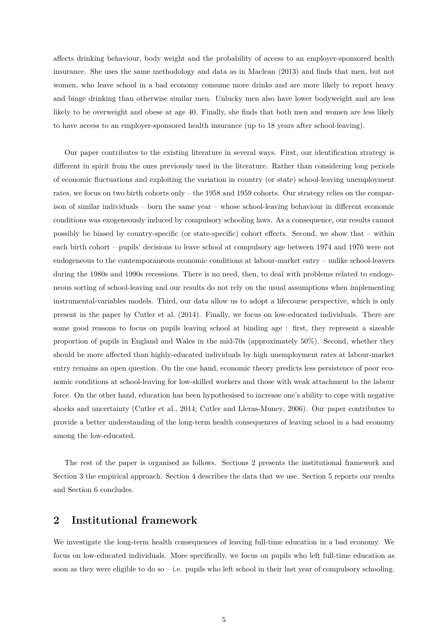affects drinking behaviour, body weight and the probability of access to an employer-sponsored health insurance. She uses the same methodology and data as in [Maclean](#page-22-5) [\(2013\)](#page-22-5) and finds that men, but not women, who leave school in a bad economy consume more drinks and are more likely to report heavy and binge drinking than otherwise similar men. Unlucky men also have lower bodyweight and are less likely to be overweight and obese at age 40. Finally, she finds that both men and women are less likely to have access to an employer-sponsored health insurance (up to 18 years after school-leaving).

Our paper contributes to the existing literature in several ways. First, our identification strategy is different in spirit from the ones previously used in the literature. Rather than considering long periods of economic fluctuations and exploiting the variation in country (or state) school-leaving unemployment rates, we focus on two birth cohorts only – the 1958 and 1959 cohorts. Our strategy relies on the comparison of similar individuals – born the same year – whose school-leaving behaviour in different economic conditions was exogeneously induced by compulsory schooling laws. As a consequence, our results cannot possibly be biased by country-specific (or state-specific) cohort effects. Second, we show that – within each birth cohort – pupils' decisions to leave school at compulsory age between 1974 and 1976 were not endogeneous to the contemporaneous economic conditions at labour-market entry – unlike school-leavers during the 1980s and 1990s recessions. There is no need, then, to deal with problems related to endogeneous sorting of school-leaving and our results do not rely on the usual assumptions when implementing instrumental-variables models. Third, our data allow us to adopt a lifecourse perspective, which is only present in the paper by [Cutler et al.](#page-20-8) [\(2014\)](#page-20-8). Finally, we focus on low-educated individuals. There are some good reasons to focus on pupils leaving school at binding age : first, they represent a sizeable proportion of pupils in England and Wales in the mid-70s (approximately 50%). Second, whether they should be more affected than highly-educated individuals by high unemployment rates at labour-market entry remains an open question. On the one hand, economic theory predicts less persistence of poor economic conditions at school-leaving for low-skilled workers and those with weak attachment to the labour force. On the other hand, education has been hypothesised to increase one's ability to cope with negative shocks and uncertainty [\(Cutler et al.,](#page-20-8) [2014;](#page-20-8) [Cutler and Lleras-Muney,](#page-20-9) [2006\)](#page-20-9). Our paper contributes to provide a better understanding of the long-term health consequences of leaving school in a bad economy among the low-educated.

The rest of the paper is organised as follows. Sections [2](#page-5-0) presents the institutional framework and Section [3](#page-8-0) the empirical approach. Section [4](#page-13-0) describes the data that we use. Section [5](#page-14-0) reports our results and Section [6](#page-17-0) concludes.

### <span id="page-5-0"></span>**2 Institutional framework**

We investigate the long-term health consequences of leaving full-time education in a bad economy. We focus on low-educated individuals. More specifically, we focus on pupils who left full-time education as soon as they were eligible to do so – i.e. pupils who left school in their last year of compulsory schooling.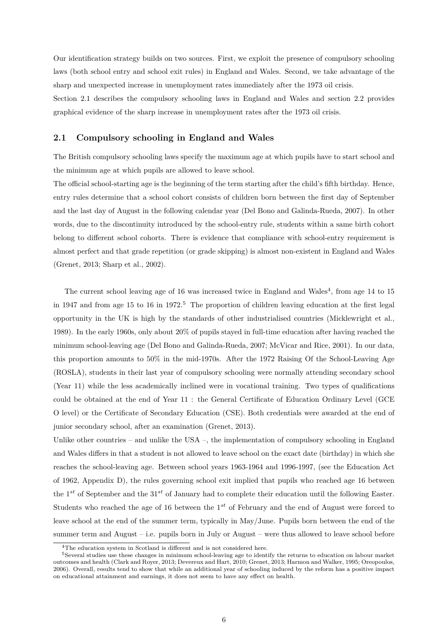Our identification strategy builds on two sources. First, we exploit the presence of compulsory schooling laws (both school entry and school exit rules) in England and Wales. Second, we take advantage of the sharp and unexpected increase in unemployment rates immediately after the 1973 oil crisis.

Section [2.1](#page-6-0) describes the compulsory schooling laws in England and Wales and section [2.2](#page-7-0) provides graphical evidence of the sharp increase in unemployment rates after the 1973 oil crisis.

### <span id="page-6-0"></span>**2.1 Compulsory schooling in England and Wales**

The British compulsory schooling laws specify the maximum age at which pupils have to start school and the minimum age at which pupils are allowed to leave school.

The official school-starting age is the beginning of the term starting after the child's fifth birthday. Hence, entry rules determine that a school cohort consists of children born between the first day of September and the last day of August in the following calendar year [\(Del Bono and Galinda-Rueda,](#page-20-10) [2007\)](#page-20-10). In other words, due to the discontinuity introduced by the school-entry rule, students within a same birth cohort belong to different school cohorts. There is evidence that compliance with school-entry requirement is almost perfect and that grade repetition (or grade skipping) is almost non-existent in England and Wales [\(Grenet,](#page-21-10) [2013;](#page-21-10) [Sharp et al.,](#page-24-3) [2002\)](#page-24-3).

The current school leaving age of 16 was increased twice in England and Wales<sup>[4](#page-1-0)</sup>, from age 14 to 15 in 1947 and from age 1[5](#page-1-0) to 16 in 1972.<sup>5</sup> The proportion of children leaving education at the first legal opportunity in the UK is high by the standards of other industrialised countries [\(Micklewright et al.,](#page-23-9) [1989\)](#page-23-9). In the early 1960s, only about 20% of pupils stayed in full-time education after having reached the minimum school-leaving age [\(Del Bono and Galinda-Rueda,](#page-20-10) [2007;](#page-20-10) [McVicar and Rice,](#page-23-10) [2001\)](#page-23-10). In our data, this proportion amounts to 50% in the mid-1970s. After the 1972 Raising Of the School-Leaving Age (ROSLA), students in their last year of compulsory schooling were normally attending secondary school (Year 11) while the less academically inclined were in vocational training. Two types of qualifications could be obtained at the end of Year 11 : the General Certificate of Education Ordinary Level (GCE O level) or the Certificate of Secondary Education (CSE). Both credentials were awarded at the end of junior secondary school, after an examination [\(Grenet,](#page-21-10) [2013\)](#page-21-10).

Unlike other countries – and unlike the USA –, the implementation of compulsory schooling in England and Wales differs in that a student is not allowed to leave school on the exact date (birthday) in which she reaches the school-leaving age. Between school years 1963-1964 and 1996-1997, (see the Education Act of 1962, Appendix [D\)](#page-37-0), the rules governing school exit implied that pupils who reached age 16 between the 1*st* of September and the 31*st* of January had to complete their education until the following Easter. Students who reached the age of 16 between the 1*st* of February and the end of August were forced to leave school at the end of the summer term, typically in May/June. Pupils born between the end of the summer term and August – i.e. pupils born in July or August – were thus allowed to leave school before

 ${}^{4}{\rm The}$  education system in Scotland is different and is not considered here.

<sup>5</sup>Several studies use these changes in minimum school-leaving age to identify the returns to education on labour market outcomes and health [\(Clark and Royer,](#page-20-11) [2013;](#page-20-11) [Devereux and Hart,](#page-20-12) [2010;](#page-20-12) [Grenet,](#page-21-10) [2013;](#page-21-10) [Harmon and Walker,](#page-21-11) [1995;](#page-21-11) [Oreopoulos,](#page-23-11) [2006\)](#page-23-11). Overall, results tend to show that while an additional year of schooling induced by the reform has a positive impact on educational attainment and earnings, it does not seem to have any effect on health.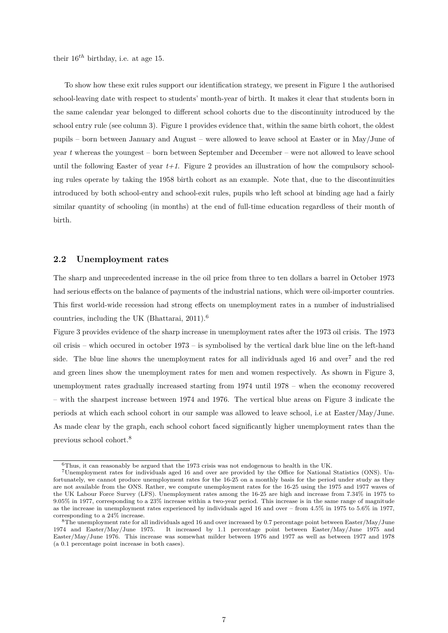their 16*th* birthday, i.e. at age 15.

To show how these exit rules support our identification strategy, we present in Figure [1](#page-25-0) the authorised school-leaving date with respect to students' month-year of birth. It makes it clear that students born in the same calendar year belonged to different school cohorts due to the discontinuity introduced by the school entry rule (see column 3). Figure [1](#page-25-0) provides evidence that, within the same birth cohort, the oldest pupils – born between January and August – were allowed to leave school at Easter or in May/June of year *t* whereas the youngest – born between September and December – were not allowed to leave school until the following Easter of year  $t+1$ . Figure [2](#page-25-1) provides an illustration of how the compulsory schooling rules operate by taking the 1958 birth cohort as an example. Note that, due to the discontinuities introduced by both school-entry and school-exit rules, pupils who left school at binding age had a fairly similar quantity of schooling (in months) at the end of full-time education regardless of their month of birth.

### <span id="page-7-0"></span>**2.2 Unemployment rates**

The sharp and unprecedented increase in the oil price from three to ten dollars a barrel in October 1973 had serious effects on the balance of payments of the industrial nations, which were oil-importer countries. This first world-wide recession had strong effects on unemployment rates in a number of industrialised countries, including the UK [\(Bhattarai,](#page-19-6) [2011\)](#page-19-6).[6](#page-1-0)

Figure [3](#page-26-0) provides evidence of the sharp increase in unemployment rates after the 1973 oil crisis. The 1973 oil crisis – which occured in october 1973 – is symbolised by the vertical dark blue line on the left-hand side. The blue line shows the unemployment rates for all individuals aged 16 and over<sup>[7](#page-1-0)</sup> and the red and green lines show the unemployment rates for men and women respectively. As shown in Figure [3,](#page-26-0) unemployment rates gradually increased starting from 1974 until 1978 – when the economy recovered – with the sharpest increase between 1974 and 1976. The vertical blue areas on Figure [3](#page-26-0) indicate the periods at which each school cohort in our sample was allowed to leave school, i.e at Easter/May/June. As made clear by the graph, each school cohort faced significantly higher unemployment rates than the previous school cohort.[8](#page-1-0)

 $^6$  Thus, it can reasonably be argued that the 1973 crisis was not endogenous to health in the UK.

<sup>7</sup>Unemployment rates for individuals aged 16 and over are provided by the Office for National Statistics (ONS). Unfortunately, we cannot produce unemployment rates for the 16-25 on a monthly basis for the period under study as they are not available from the ONS. Rather, we compute unemployment rates for the 16-25 using the 1975 and 1977 waves of the UK Labour Force Survey (LFS). Unemployment rates among the 16-25 are high and increase from 7.34% in 1975 to 9.05% in 1977, corresponding to a 23% increase within a two-year period. This increase is in the same range of magnitude as the increase in unemployment rates experienced by individuals aged 16 and over – from 4.5% in 1975 to 5.6% in 1977, corresponding to a 24% increase.

<sup>8</sup>The unemployment rate for all individuals aged 16 and over increased by 0.7 percentage point between Easter/May/June 1974 and Easter/May/June 1975. It increased by 1.1 percentage point between Easter/May/June 1975 and Easter/May/June 1976. This increase was somewhat milder between 1976 and 1977 as well as between 1977 and 1978 (a 0.1 percentage point increase in both cases).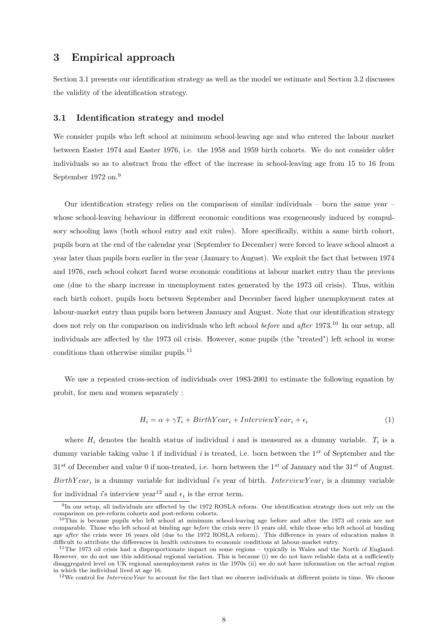### <span id="page-8-0"></span>**3 Empirical approach**

Section [3.1](#page-8-1) presents our identification strategy as well as the model we estimate and Section [3.2](#page-10-0) discusses the validity of the identification strategy.

### <span id="page-8-1"></span>**3.1 Identification strategy and model**

We consider pupils who left school at minimum school-leaving age and who entered the labour market between Easter 1974 and Easter 1976, i.e. the 1958 and 1959 birth cohorts. We do not consider older individuals so as to abstract from the effect of the increase in school-leaving age from 15 to 16 from September 1972 on.[9](#page-1-0)

Our identification strategy relies on the comparison of similar individuals – born the same year – whose school-leaving behaviour in different economic conditions was exogeneously induced by compulsory schooling laws (both school entry and exit rules). More specifically, within a same birth cohort, pupils born at the end of the calendar year (September to December) were forced to leave school almost a year later than pupils born earlier in the year (January to August). We exploit the fact that between 1974 and 1976, each school cohort faced worse economic conditions at labour market entry than the previous one (due to the sharp increase in unemployment rates generated by the 1973 oil crisis). Thus, within each birth cohort, pupils born between September and December faced higher unemployment rates at labour-market entry than pupils born between January and August. Note that our identification strategy does not rely on the comparison on individuals who left school *before* and *after* 1973.[10](#page-1-0) In our setup, all individuals are affected by the 1973 oil crisis. However, some pupils (the "treated") left school in worse conditions than otherwise similar pupils.<sup>[11](#page-1-0)</sup>

We use a repeated cross-section of individuals over 1983-2001 to estimate the following equation by probit, for men and women separately :

<span id="page-8-2"></span>
$$
H_i = \alpha + \gamma T_i + BirthYear_i + InterviewYear_i + \epsilon_i \tag{1}
$$

where  $H_i$  denotes the health status of individual *i* and is measured as a dummy variable.  $T_i$  is a dummy variable taking value 1 if individual *i* is treated, i.e. born between the 1*st* of September and the 31*st* of December and value 0 if non-treated, i.e. born between the 1*st* of January and the 31*st* of August.  $BirthYear_i$  is a dummy variable for individual *i*'s year of birth. *InterviewY ear<sub>i</sub>* is a dummy variable for individual *i*'s interview year<sup>[12](#page-1-0)</sup> and  $\epsilon_i$  is the error term.

<sup>9</sup> In our setup, all individuals are affected by the 1972 ROSLA reform. Our identification strategy does not rely on the comparison on pre-reform cohorts and post-reform cohorts.

 $10$ This is because pupils who left school at minimum school-leaving age before and after the 1973 oil crisis are not comparable. Those who left school at binding age *before* the crisis were 15 years old, while those who left school at binding age *after* the crisis were 16 years old (due to the 1972 ROSLA reform). This difference in years of education makes it difficult to attribute the differences in health outcomes to economic conditions at labour-market entry.

<sup>&</sup>lt;sup>11</sup>The 1973 oil crisis had a disproportionate impact on some regions – typically in Wales and the North of England. However, we do not use this additional regional variation. This is because (i) we do not have reliable data at a sufficiently disaggregated level on UK regional unemployment rates in the 1970s (ii) we do not have information on the actual region in which the individual lived at age 16.

<sup>&</sup>lt;sup>12</sup>We control for *InterviewYear* to account for the fact that we observe individuals at different points in time. We choose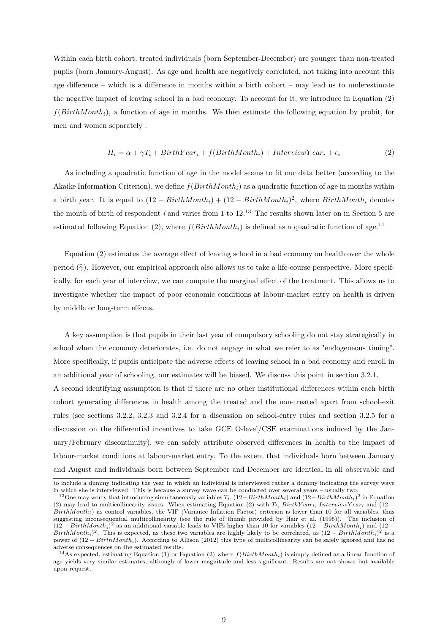Within each birth cohort, treated individuals (born September-December) are younger than non-treated pupils (born January-August). As age and health are negatively correlated, not taking into account this age difference – which is a difference in months within a birth cohort – may lead us to underestimate the negative impact of leaving school in a bad economy. To account for it, we introduce in Equation [\(2\)](#page-9-0) *f*(*BirthMonthi*), a function of age in months. We then estimate the following equation by probit, for men and women separately :

<span id="page-9-0"></span>
$$
H_i = \alpha + \gamma T_i + BirthYear_i + f(BirthMonth_i) + InterviewYear_i + \epsilon_i
$$
\n(2)

As including a quadratic function of age in the model seems to fit our data better (according to the Akaike Information Criterion), we define *f*(*BirthMonthi*) as a quadratic function of age in months within a birth year. It is equal to  $(12 - BirthMonth_i) + (12 - BirthMonth_i)^2$ , where  $BirthMonth_i$  denotes the month of birth of respondent  $i$  and varies from 1 to  $12^{13}$  $12^{13}$  $12^{13}$ . The results shown later on in Section [5](#page-14-0) are estimated following Equation [\(2\)](#page-9-0), where  $f(BirthMonth<sub>i</sub>)$  is defined as a quadratic function of age.<sup>[14](#page-1-0)</sup>

Equation [\(2\)](#page-9-0) estimates the average effect of leaving school in a bad economy on health over the whole period (*γ*b). However, our empirical approach also allows us to take a life-course perspective. More specifically, for each year of interview, we can compute the marginal effect of the treatment. This allows us to investigate whether the impact of poor economic conditions at labour-market entry on health is driven by middle or long-term effects.

A key assumption is that pupils in their last year of compulsory schooling do not stay strategically in school when the economy deteriorates, i.e. do not engage in what we refer to as "endogeneous timing". More specifically, if pupils anticipate the adverse effects of leaving school in a bad economy and enroll in an additional year of schooling, our estimates will be biased. We discuss this point in section [3.2.1.](#page-10-1)

A second identifying assumption is that if there are no other institutional differences within each birth cohort generating differences in health among the treated and the non-treated apart from school-exit rules (see sections [3.2.2,](#page-11-0) [3.2.3](#page-11-1) and [3.2.4](#page-12-0) for a discussion on school-entry rules and section [3.2.5](#page-12-1) for a discussion on the differential incentives to take GCE O-level/CSE examinations induced by the January/February discontinuity), we can safely attribute observed differences in health to the impact of labour-market conditions at labour-market entry. To the extent that individuals born between January and August and individuals born between September and December are identical in all observable and

to include a dummy indicating the year in which an individual is interviewed rather a dummy indicating the survey wave in which she is interviewed. This is because a survey wave can be conducted over several years – usually two.

<sup>13</sup>One may worry that introducing simultaneously variables *Ti*, (12−*BirthM onthi*) and (12−*BirthM onthi*) 2 in Equation [\(2\)](#page-9-0) may lead to multicollinearity issues. When estimating Equation (2) with  $T_i$ ,  $BirthYear_i$ ,  $InterviewYear_i$  and (12 − *BirthM onthi*) as control variables, the VIF (Variance Inflation Factor) criterion is lower than 10 for all variables, thus suggesting inconsequential multicollinearity (see the rule of thumb provided by [Hair et al.](#page-21-12) [\(1995\)](#page-21-12)). The inclusion of  $(12 - BirthMonth<sub>i</sub>)<sup>2</sup>$  as an additional variable leads to VIFs higher than 10 for variables  $(12 - BirthMonth<sub>i</sub>)$  and  $(12 BirthMonth<sub>i</sub>)<sup>2</sup>$ . This is expected, as these two variables are highly likely to be correlated, as  $(12 - BirthMonth<sub>i</sub>)<sup>2</sup>$  is a power of (12 − *BirthM onthi*). According to [Allison](#page-19-7) [\(2012\)](#page-19-7) this type of multicollinearity can be safely ignored and has no adverse consequences on the estimated results.

<sup>&</sup>lt;sup>14</sup>As expected, estimating Equation [\(1\)](#page-8-2) or Equation [\(2\)](#page-9-0) where  $f(BirthMonth_i)$  is simply defined as a linear function of age yields very similar estimates, although of lower magnitude and less significant. Results are not shown but available upon request.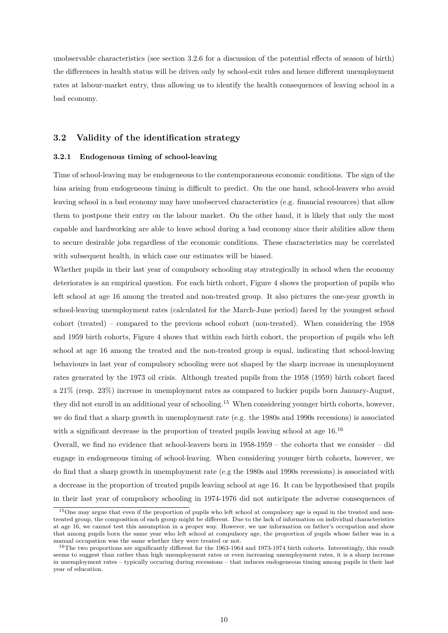unobservable characteristics (see section [3.2.6](#page-12-2) for a discussion of the potential effects of season of birth) the differences in health status will be driven only by school-exit rules and hence different unemployment rates at labour-market entry, thus allowing us to identify the health consequences of leaving school in a bad economy.

### <span id="page-10-0"></span>**3.2 Validity of the identification strategy**

### <span id="page-10-1"></span>**3.2.1 Endogenous timing of school-leaving**

Time of school-leaving may be endogeneous to the contemporaneous economic conditions. The sign of the bias arising from endogeneous timing is difficult to predict. On the one hand, school-leavers who avoid leaving school in a bad economy may have unobserved characteristics (e.g. financial resources) that allow them to postpone their entry on the labour market. On the other hand, it is likely that only the most capable and hardworking are able to leave school during a bad economy since their abilities allow them to secure desirable jobs regardless of the economic conditions. These characteristics may be correlated with subsequent health, in which case our estimates will be biased.

Whether pupils in their last year of compulsory schooling stay strategically in school when the economy deteriorates is an empirical question. For each birth cohort, Figure [4](#page-27-0) shows the proportion of pupils who left school at age 16 among the treated and non-treated group. It also pictures the one-year growth in school-leaving unemployment rates (calculated for the March-June period) faced by the youngest school cohort (treated) – compared to the previous school cohort (non-treated). When considering the 1958 and 1959 birth cohorts, Figure [4](#page-27-0) shows that within each birth cohort, the proportion of pupils who left school at age 16 among the treated and the non-treated group is equal, indicating that school-leaving behaviours in last year of compulsory schooling were not shaped by the sharp increase in unemployment rates generated by the 1973 oil crisis. Although treated pupils from the 1958 (1959) birth cohort faced a 21% (resp. 23%) increase in unemployment rates as compared to luckier pupils born January-August, they did not enroll in an additional year of schooling.[15](#page-1-0) When considering younger birth cohorts, however, we do find that a sharp growth in unemployment rate (e.g. the 1980s and 1990s recessions) is associated with a significant decrease in the proportion of treated pupils leaving school at age  $16^{16}$  $16^{16}$ 

Overall, we find no evidence that school-leavers born in 1958-1959 – the cohorts that we consider – did engage in endogeneous timing of school-leaving. When considering younger birth cohorts, however, we do find that a sharp growth in unemployment rate (e.g the 1980s and 1990s recessions) is associated with a decrease in the proportion of treated pupils leaving school at age 16. It can be hypothesised that pupils in their last year of compulsory schooling in 1974-1976 did not anticipate the adverse consequences of

<sup>&</sup>lt;sup>15</sup>One may argue that even if the proportion of pupils who left school at compulsory age is equal in the treated and nontreated group, the composition of each group might be different. Due to the lack of information on individual characteristics at age 16, we cannot test this assumption in a proper way. However, we use information on father's occupation and show that among pupils born the same year who left school at compulsory age, the proportion of pupils whose father was in a manual occupation was the same whether they were treated or not.

<sup>&</sup>lt;sup>16</sup>The two proportions are significantly different for the 1963-1964 and 1973-1974 birth cohorts. Interestingly, this result seems to suggest than rather than high unemployment rates or even increasing unemployment rates, it is a sharp increase in unemployment rates – typically occuring during recessions – that induces endogeneous timing among pupils in their last year of education.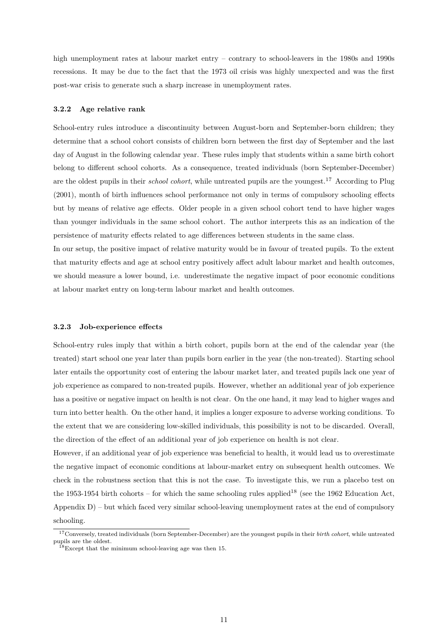high unemployment rates at labour market entry – contrary to school-leavers in the 1980s and 1990s recessions. It may be due to the fact that the 1973 oil crisis was highly unexpected and was the first post-war crisis to generate such a sharp increase in unemployment rates.

#### <span id="page-11-0"></span>**3.2.2 Age relative rank**

School-entry rules introduce a discontinuity between August-born and September-born children; they determine that a school cohort consists of children born between the first day of September and the last day of August in the following calendar year. These rules imply that students within a same birth cohort belong to different school cohorts. As a consequence, treated individuals (born September-December) are the oldest pupils in their *school cohort*, while untreated pupils are the youngest.[17](#page-1-0) According to [Plug](#page-23-12) [\(2001\)](#page-23-12), month of birth influences school performance not only in terms of compulsory schooling effects but by means of relative age effects. Older people in a given school cohort tend to have higher wages than younger individuals in the same school cohort. The author interprets this as an indication of the persistence of maturity effects related to age differences between students in the same class.

In our setup, the positive impact of relative maturity would be in favour of treated pupils. To the extent that maturity effects and age at school entry positively affect adult labour market and health outcomes, we should measure a lower bound, i.e. underestimate the negative impact of poor economic conditions at labour market entry on long-term labour market and health outcomes.

#### <span id="page-11-1"></span>**3.2.3 Job-experience effects**

School-entry rules imply that within a birth cohort, pupils born at the end of the calendar year (the treated) start school one year later than pupils born earlier in the year (the non-treated). Starting school later entails the opportunity cost of entering the labour market later, and treated pupils lack one year of job experience as compared to non-treated pupils. However, whether an additional year of job experience has a positive or negative impact on health is not clear. On the one hand, it may lead to higher wages and turn into better health. On the other hand, it implies a longer exposure to adverse working conditions. To the extent that we are considering low-skilled individuals, this possibility is not to be discarded. Overall, the direction of the effect of an additional year of job experience on health is not clear.

However, if an additional year of job experience was beneficial to health, it would lead us to overestimate the negative impact of economic conditions at labour-market entry on subsequent health outcomes. We check in the robustness section that this is not the case. To investigate this, we run a placebo test on the 1953-1954 birth cohorts – for which the same schooling rules applied<sup>[18](#page-1-0)</sup> (see the 1962 Education Act, Appendix [D\)](#page-37-0) – but which faced very similar school-leaving unemployment rates at the end of compulsory schooling.

<sup>17</sup>Conversely, treated individuals (born September-December) are the youngest pupils in their *birth cohort*, while untreated pupils are the oldest.

 $^{18}$ Except that the minimum school-leaving age was then 15.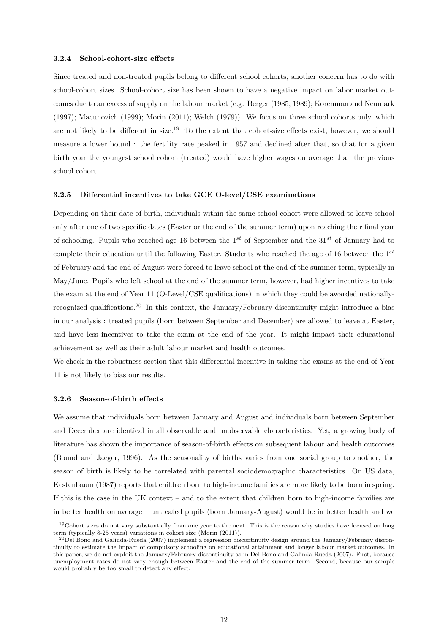#### <span id="page-12-0"></span>**3.2.4 School-cohort-size effects**

Since treated and non-treated pupils belong to different school cohorts, another concern has to do with school-cohort sizes. School-cohort size has been shown to have a negative impact on labor market outcomes due to an excess of supply on the labour market (e.g. [Berger](#page-19-8) [\(1985,](#page-19-8) [1989\)](#page-19-9); [Korenman and Neumark](#page-22-12) [\(1997\)](#page-22-12); [Macunovich](#page-22-13) [\(1999\)](#page-22-13); [Morin](#page-23-13) [\(2011\)](#page-23-13); [Welch](#page-24-4) [\(1979\)](#page-24-4)). We focus on three school cohorts only, which are not likely to be different in size.[19](#page-1-0) To the extent that cohort-size effects exist, however, we should measure a lower bound : the fertility rate peaked in 1957 and declined after that, so that for a given birth year the youngest school cohort (treated) would have higher wages on average than the previous school cohort.

### <span id="page-12-1"></span>**3.2.5 Differential incentives to take GCE O-level/CSE examinations**

Depending on their date of birth, individuals within the same school cohort were allowed to leave school only after one of two specific dates (Easter or the end of the summer term) upon reaching their final year of schooling. Pupils who reached age 16 between the 1*st* of September and the 31*st* of January had to complete their education until the following Easter. Students who reached the age of 16 between the 1*st* of February and the end of August were forced to leave school at the end of the summer term, typically in May/June. Pupils who left school at the end of the summer term, however, had higher incentives to take the exam at the end of Year 11 (O-Level/CSE qualifications) in which they could be awarded nationallyrecognized qualifications.[20](#page-1-0) In this context, the January/February discontinuity might introduce a bias in our analysis : treated pupils (born between September and December) are allowed to leave at Easter, and have less incentives to take the exam at the end of the year. It might impact their educational achievement as well as their adult labour market and health outcomes.

We check in the robustness section that this differential incentive in taking the exams at the end of Year 11 is not likely to bias our results.

### <span id="page-12-2"></span>**3.2.6 Season-of-birth effects**

We assume that individuals born between January and August and individuals born between September and December are identical in all observable and unobservable characteristics. Yet, a growing body of literature has shown the importance of season-of-birth effects on subsequent labour and health outcomes [\(Bound and Jaeger,](#page-19-10) [1996\)](#page-19-10). As the seasonality of births varies from one social group to another, the season of birth is likely to be correlated with parental sociodemographic characteristics. On US data, [Kestenbaum](#page-22-14) [\(1987\)](#page-22-14) reports that children born to high-income families are more likely to be born in spring. If this is the case in the UK context – and to the extent that children born to high-income families are in better health on average – untreated pupils (born January-August) would be in better health and we

<sup>&</sup>lt;sup>19</sup>Cohort sizes do not vary substantially from one year to the next. This is the reason why studies have focused on long term (typically 8-25 years) variations in cohort size [\(Morin](#page-23-13) [\(2011\)](#page-23-13)).

 $^{20}$ [Del Bono and Galinda-Rueda](#page-20-10) [\(2007\)](#page-20-10) implement a regression discontinuity design around the January/February discontinuity to estimate the impact of compulsory schooling on educational attainment and longer labour market outcomes. In this paper, we do not exploit the January/February discontinuity as in [Del Bono and Galinda-Rueda](#page-20-10) [\(2007\)](#page-20-10). First, because unemployment rates do not vary enough between Easter and the end of the summer term. Second, because our sample would probably be too small to detect any effect.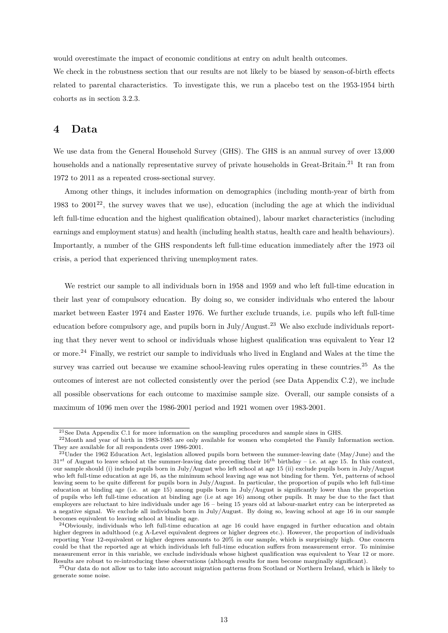would overestimate the impact of economic conditions at entry on adult health outcomes.

We check in the robustness section that our results are not likely to be biased by season-of-birth effects related to parental characteristics. To investigate this, we run a placebo test on the 1953-1954 birth cohorts as in section [3.2.3.](#page-11-1)

# <span id="page-13-0"></span>**4 Data**

We use data from the General Household Survey (GHS). The GHS is an annual survey of over 13,000 households and a nationally representative survey of private households in Great-Britain.<sup>[21](#page-1-0)</sup> It ran from 1972 to 2011 as a repeated cross-sectional survey.

Among other things, it includes information on demographics (including month-year of birth from 1983 to  $2001^{22}$  $2001^{22}$  $2001^{22}$ , the survey waves that we use), education (including the age at which the individual left full-time education and the highest qualification obtained), labour market characteristics (including earnings and employment status) and health (including health status, health care and health behaviours). Importantly, a number of the GHS respondents left full-time education immediately after the 1973 oil crisis, a period that experienced thriving unemployment rates.

We restrict our sample to all individuals born in 1958 and 1959 and who left full-time education in their last year of compulsory education. By doing so, we consider individuals who entered the labour market between Easter 1974 and Easter 1976. We further exclude truands, i.e. pupils who left full-time education before compulsory age, and pupils born in July/August.[23](#page-1-0) We also exclude individuals reporting that they never went to school or individuals whose highest qualification was equivalent to Year 12 or more.[24](#page-1-0) Finally, we restrict our sample to individuals who lived in England and Wales at the time the survey was carried out because we examine school-leaving rules operating in these countries.<sup>[25](#page-1-0)</sup> As the outcomes of interest are not collected consistently over the period (see Data Appendix [C.2\)](#page-36-0), we include all possible observations for each outcome to maximise sample size. Overall, our sample consists of a maximum of 1096 men over the 1986-2001 period and 1921 women over 1983-2001.

<sup>21</sup>See Data Appendix [C.1](#page-36-1) for more information on the sampling procedures and sample sizes in GHS.

<sup>&</sup>lt;sup>22</sup>Month and year of birth in 1983-1985 are only available for women who completed the Family Information section. They are available for all respondents over 1986-2001.

 $^{23}$ Under the 1962 Education Act, legislation allowed pupils born between the summer-leaving date (May/June) and the  $31^{st}$  of August to leave school at the summer-leaving date preceding their  $16^{th}$  birthday – i.e. at age 15. In this context, our sample should (i) include pupils born in July/August who left school at age 15 (ii) exclude pupils born in July/August who left full-time education at age 16, as the minimum school leaving age was not binding for them. Yet, patterns of school leaving seem to be quite different for pupils born in July/August. In particular, the proportion of pupils who left full-time education at binding age (i.e. at age 15) among pupils born in July/August is significantly lower than the proportion of pupils who left full-time education at binding age (i.e at age 16) among other pupils. It may be due to the fact that employers are reluctant to hire individuals under age 16 – being 15 years old at labour-market entry can be interpreted as a negative signal. We exclude all individuals born in July/August. By doing so, leaving school at age 16 in our sample becomes equivalent to leaving school at binding age.

<sup>24</sup>Obviously, individuals who left full-time education at age 16 could have engaged in further education and obtain higher degrees in adulthood (e.g A-Level equivalent degrees or higher degrees etc.). However, the proportion of individuals reporting Year 12-equivalent or higher degrees amounts to 20% in our sample, which is surprisingly high. One concern could be that the reported age at which individuals left full-time education suffers from measurement error. To minimise measurement error in this variable, we exclude individuals whose highest qualification was equivalent to Year 12 or more. Results are robust to re-introducing these observations (although results for men become marginally significant).

<sup>25</sup>Our data do not allow us to take into account migration patterns from Scotland or Northern Ireland, which is likely to generate some noise.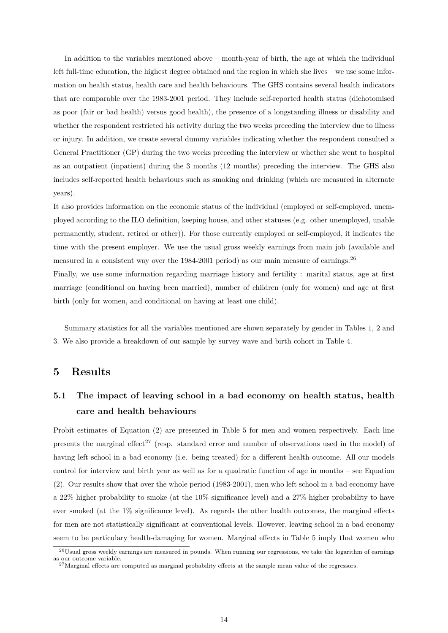In addition to the variables mentioned above – month-year of birth, the age at which the individual left full-time education, the highest degree obtained and the region in which she lives – we use some information on health status, health care and health behaviours. The GHS contains several health indicators that are comparable over the 1983-2001 period. They include self-reported health status (dichotomised as poor (fair or bad health) versus good health), the presence of a longstanding illness or disability and whether the respondent restricted his activity during the two weeks preceding the interview due to illness or injury. In addition, we create several dummy variables indicating whether the respondent consulted a General Practitioner (GP) during the two weeks preceding the interview or whether she went to hospital as an outpatient (inpatient) during the 3 months (12 months) preceding the interview. The GHS also includes self-reported health behaviours such as smoking and drinking (which are measured in alternate years).

It also provides information on the economic status of the individual (employed or self-employed, unemployed according to the ILO definition, keeping house, and other statuses (e.g. other unemployed, unable permanently, student, retired or other)). For those currently employed or self-employed, it indicates the time with the present employer. We use the usual gross weekly earnings from main job (available and measured in a consistent way over the 1984-2001 period) as our main measure of earnings.[26](#page-1-0)

Finally, we use some information regarding marriage history and fertility : marital status, age at first marriage (conditional on having been married), number of children (only for women) and age at first birth (only for women, and conditional on having at least one child).

Summary statistics for all the variables mentioned are shown separately by gender in Tables [1,](#page-29-0) [2](#page-30-0) and [3.](#page-30-1) We also provide a breakdown of our sample by survey wave and birth cohort in Table [4.](#page-31-0)

### <span id="page-14-0"></span>**5 Results**

# **5.1 The impact of leaving school in a bad economy on health status, health care and health behaviours**

Probit estimates of Equation [\(2\)](#page-9-0) are presented in Table [5](#page-32-0) for men and women respectively. Each line presents the marginal effect<sup>[27](#page-1-0)</sup> (resp. standard error and number of observations used in the model) of having left school in a bad economy (i.e. being treated) for a different health outcome. All our models control for interview and birth year as well as for a quadratic function of age in months – see Equation [\(2\)](#page-9-0). Our results show that over the whole period (1983-2001), men who left school in a bad economy have a 22% higher probability to smoke (at the 10% significance level) and a 27% higher probability to have ever smoked (at the 1% significance level). As regards the other health outcomes, the marginal effects for men are not statistically significant at conventional levels. However, leaving school in a bad economy seem to be particulary health-damaging for women. Marginal effects in Table [5](#page-32-0) imply that women who

 $^{26}$ Usual gross weekly earnings are measured in pounds. When running our regressions, we take the logarithm of earnings as our outcome variable.

<sup>&</sup>lt;sup>27</sup>Marginal effects are computed as marginal probability effects at the sample mean value of the regressors.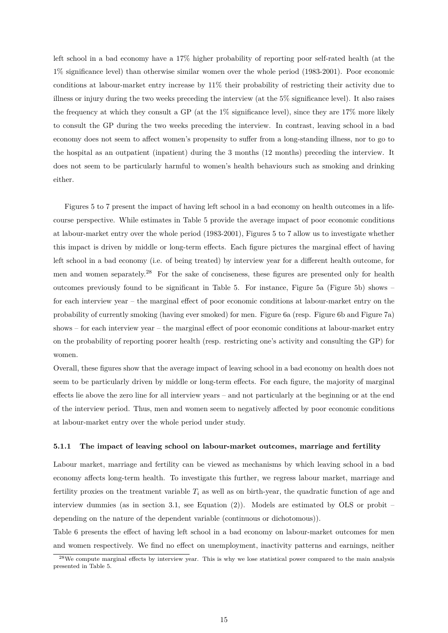left school in a bad economy have a 17% higher probability of reporting poor self-rated health (at the 1% significance level) than otherwise similar women over the whole period (1983-2001). Poor economic conditions at labour-market entry increase by 11% their probability of restricting their activity due to illness or injury during the two weeks preceding the interview (at the 5% significance level). It also raises the frequency at which they consult a GP (at the 1% significance level), since they are 17% more likely to consult the GP during the two weeks preceding the interview. In contrast, leaving school in a bad economy does not seem to affect women's propensity to suffer from a long-standing illness, nor to go to the hospital as an outpatient (inpatient) during the 3 months (12 months) preceding the interview. It does not seem to be particularly harmful to women's health behaviours such as smoking and drinking either.

Figures [5](#page-27-1) to [7](#page-28-0) present the impact of having left school in a bad economy on health outcomes in a lifecourse perspective. While estimates in Table [5](#page-32-0) provide the average impact of poor economic conditions at labour-market entry over the whole period (1983-2001), Figures [5](#page-27-1) to [7](#page-28-0) allow us to investigate whether this impact is driven by middle or long-term effects. Each figure pictures the marginal effect of having left school in a bad economy (i.e. of being treated) by interview year for a different health outcome, for men and women separately.<sup>[28](#page-1-0)</sup> For the sake of conciseness, these figures are presented only for health outcomes previously found to be significant in Table [5.](#page-32-0) For instance, Figure [5a](#page-27-1) (Figure [5b\)](#page-27-1) shows – for each interview year – the marginal effect of poor economic conditions at labour-market entry on the probability of currently smoking (having ever smoked) for men. Figure [6a](#page-28-1) (resp. Figure [6b](#page-28-1) and Figure [7a\)](#page-28-0) shows – for each interview year – the marginal effect of poor economic conditions at labour-market entry on the probability of reporting poorer health (resp. restricting one's activity and consulting the GP) for women.

Overall, these figures show that the average impact of leaving school in a bad economy on health does not seem to be particularly driven by middle or long-term effects. For each figure, the majority of marginal effects lie above the zero line for all interview years – and not particularly at the beginning or at the end of the interview period. Thus, men and women seem to negatively affected by poor economic conditions at labour-market entry over the whole period under study.

#### **5.1.1 The impact of leaving school on labour-market outcomes, marriage and fertility**

Labour market, marriage and fertility can be viewed as mechanisms by which leaving school in a bad economy affects long-term health. To investigate this further, we regress labour market, marriage and fertility proxies on the treatment variable  $T_i$  as well as on birth-year, the quadratic function of age and interview dummies (as in section [3.1,](#page-8-1) see Equation  $(2)$ ). Models are estimated by OLS or probit – depending on the nature of the dependent variable (continuous or dichotomous)).

Table [6](#page-33-0) presents the effect of having left school in a bad economy on labour-market outcomes for men and women respectively. We find no effect on unemployment, inactivity patterns and earnings, neither

<sup>28</sup>We compute marginal effects by interview year. This is why we lose statistical power compared to the main analysis presented in Table [5.](#page-32-0)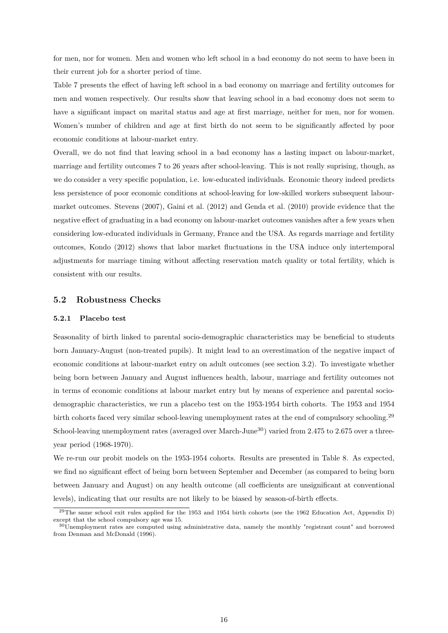for men, nor for women. Men and women who left school in a bad economy do not seem to have been in their current job for a shorter period of time.

Table [7](#page-33-1) presents the effect of having left school in a bad economy on marriage and fertility outcomes for men and women respectively. Our results show that leaving school in a bad economy does not seem to have a significant impact on marital status and age at first marriage, neither for men, nor for women. Women's number of children and age at first birth do not seem to be significantly affected by poor economic conditions at labour-market entry.

Overall, we do not find that leaving school in a bad economy has a lasting impact on labour-market, marriage and fertility outcomes 7 to 26 years after school-leaving. This is not really suprising, though, as we do consider a very specific population, i.e. low-educated individuals. Economic theory indeed predicts less persistence of poor economic conditions at school-leaving for low-skilled workers subsequent labourmarket outcomes. [Stevens](#page-24-0) [\(2007\)](#page-24-0), [Gaini et al.](#page-21-0) [\(2012\)](#page-21-0) and [Genda et al.](#page-21-1) [\(2010\)](#page-21-1) provide evidence that the negative effect of graduating in a bad economy on labour-market outcomes vanishes after a few years when considering low-educated individuals in Germany, France and the USA. As regards marriage and fertility outcomes, [Kondo](#page-22-11) [\(2012\)](#page-22-11) shows that labor market fluctuations in the USA induce only intertemporal adjustments for marriage timing without affecting reservation match quality or total fertility, which is consistent with our results.

### **5.2 Robustness Checks**

### **5.2.1 Placebo test**

Seasonality of birth linked to parental socio-demographic characteristics may be beneficial to students born January-August (non-treated pupils). It might lead to an overestimation of the negative impact of economic conditions at labour-market entry on adult outcomes (see section [3.2\)](#page-10-0). To investigate whether being born between January and August influences health, labour, marriage and fertility outcomes not in terms of economic conditions at labour market entry but by means of experience and parental sociodemographic characteristics, we run a placebo test on the 1953-1954 birth cohorts. The 1953 and 1954 birth cohorts faced very similar school-leaving unemployment rates at the end of compulsory schooling.[29](#page-1-0) School-leaving unemployment rates (averaged over March-June<sup>[30](#page-1-0)</sup>) varied from 2.475 to 2.675 over a threeyear period (1968-1970).

We re-run our probit models on the 1953-1954 cohorts. Results are presented in Table [8.](#page-34-0) As expected, we find no significant effect of being born between September and December (as compared to being born between January and August) on any health outcome (all coefficients are unsignificant at conventional levels), indicating that our results are not likely to be biased by season-of-birth effects.

<sup>&</sup>lt;sup>29</sup>The same school exit rules applied for the 1953 and 1954 birth cohorts (see the 1962 Education Act, Appendix [D\)](#page-37-0) except that the school compulsory age was 15.

 $30$ Unemployment rates are computed using administrative data, namely the monthly "registrant count" and borrowed from [Denman and McDonald](#page-20-13) [\(1996\)](#page-20-13).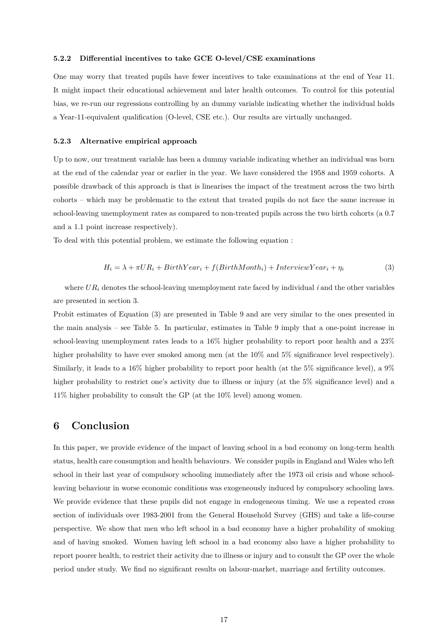#### **5.2.2 Differential incentives to take GCE O-level/CSE examinations**

One may worry that treated pupils have fewer incentives to take examinations at the end of Year 11. It might impact their educational achievement and later health outcomes. To control for this potential bias, we re-run our regressions controlling by an dummy variable indicating whether the individual holds a Year-11-equivalent qualification (O-level, CSE etc.). Our results are virtually unchanged.

### **5.2.3 Alternative empirical approach**

Up to now, our treatment variable has been a dummy variable indicating whether an individual was born at the end of the calendar year or earlier in the year. We have considered the 1958 and 1959 cohorts. A possible drawback of this approach is that is linearises the impact of the treatment across the two birth cohorts – which may be problematic to the extent that treated pupils do not face the same increase in school-leaving unemployment rates as compared to non-treated pupils across the two birth cohorts (a 0.7 and a 1.1 point increase respectively).

To deal with this potential problem, we estimate the following equation :

<span id="page-17-1"></span>
$$
H_i = \lambda + \pi U R_i + BirthYear_i + f(BirthMonth_i) + InterviewYear_i + \eta_i
$$
\n(3)

where  $UR_i$  denotes the school-leaving unemployment rate faced by individual *i* and the other variables are presented in section [3.](#page-8-0)

Probit estimates of Equation [\(3\)](#page-17-1) are presented in Table [9](#page-35-0) and are very similar to the ones presented in the main analysis – see Table [5.](#page-32-0) In particular, estimates in Table [9](#page-35-0) imply that a one-point increase in school-leaving unemployment rates leads to a 16% higher probability to report poor health and a 23% higher probability to have ever smoked among men (at the  $10\%$  and  $5\%$  significance level respectively). Similarly, it leads to a 16% higher probability to report poor health (at the 5% significance level), a 9% higher probability to restrict one's activity due to illness or injury (at the 5% significance level) and a 11% higher probability to consult the GP (at the 10% level) among women.

### <span id="page-17-0"></span>**6 Conclusion**

In this paper, we provide evidence of the impact of leaving school in a bad economy on long-term health status, health care consumption and health behaviours. We consider pupils in England and Wales who left school in their last year of compulsory schooling immediately after the 1973 oil crisis and whose schoolleaving behaviour in worse economic conditions was exogeneously induced by compulsory schooling laws. We provide evidence that these pupils did not engage in endogeneous timing. We use a repeated cross section of individuals over 1983-2001 from the General Household Survey (GHS) and take a life-course perspective. We show that men who left school in a bad economy have a higher probability of smoking and of having smoked. Women having left school in a bad economy also have a higher probability to report poorer health, to restrict their activity due to illness or injury and to consult the GP over the whole period under study. We find no significant results on labour-market, marriage and fertility outcomes.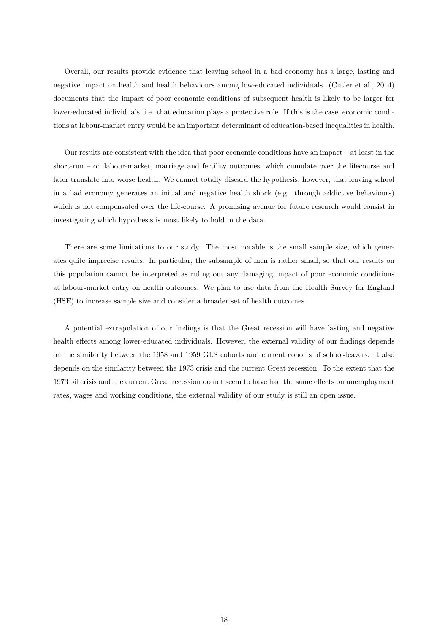Overall, our results provide evidence that leaving school in a bad economy has a large, lasting and negative impact on health and health behaviours among low-educated individuals. [\(Cutler et al.,](#page-20-8) [2014\)](#page-20-8) documents that the impact of poor economic conditions of subsequent health is likely to be larger for lower-educated individuals, i.e. that education plays a protective role. If this is the case, economic conditions at labour-market entry would be an important determinant of education-based inequalities in health.

Our results are consistent with the idea that poor economic conditions have an impact – at least in the short-run – on labour-market, marriage and fertility outcomes, which cumulate over the lifecourse and later translate into worse health. We cannot totally discard the hypothesis, however, that leaving school in a bad economy generates an initial and negative health shock (e.g. through addictive behaviours) which is not compensated over the life-course. A promising avenue for future research would consist in investigating which hypothesis is most likely to hold in the data.

There are some limitations to our study. The most notable is the small sample size, which generates quite imprecise results. In particular, the subsample of men is rather small, so that our results on this population cannot be interpreted as ruling out any damaging impact of poor economic conditions at labour-market entry on health outcomes. We plan to use data from the Health Survey for England (HSE) to increase sample size and consider a broader set of health outcomes.

A potential extrapolation of our findings is that the Great recession will have lasting and negative health effects among lower-educated individuals. However, the external validity of our findings depends on the similarity between the 1958 and 1959 GLS cohorts and current cohorts of school-leavers. It also depends on the similarity between the 1973 crisis and the current Great recession. To the extent that the 1973 oil crisis and the current Great recession do not seem to have had the same effects on unemployment rates, wages and working conditions, the external validity of our study is still an open issue.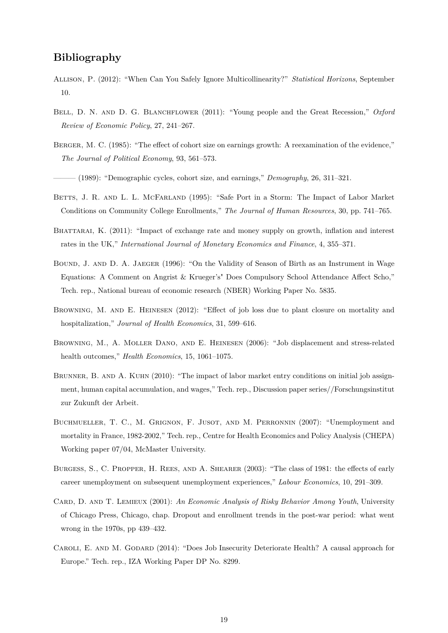# **Bibliography**

- <span id="page-19-7"></span>Allison, P. (2012): "When Can You Safely Ignore Multicollinearity?" *Statistical Horizons*, September 10.
- <span id="page-19-0"></span>BELL, D. N. AND D. G. BLANCHFLOWER (2011): "Young people and the Great Recession," Oxford *Review of Economic Policy*, 27, 241–267.
- <span id="page-19-8"></span>Berger, M. C. (1985): "The effect of cohort size on earnings growth: A reexamination of the evidence," *The Journal of Political Economy*, 93, 561–573.
- <span id="page-19-9"></span>——— (1989): "Demographic cycles, cohort size, and earnings," *Demography*, 26, 311–321.
- <span id="page-19-4"></span>BETTS, J. R. AND L. L. MCFARLAND (1995): "Safe Port in a Storm: The Impact of Labor Market Conditions on Community College Enrollments," *The Journal of Human Resources*, 30, pp. 741–765.
- <span id="page-19-6"></span>BHATTARAI, K. (2011): "Impact of exchange rate and money supply on growth, inflation and interest rates in the UK," *International Journal of Monetary Economics and Finance*, 4, 355–371.
- <span id="page-19-10"></span>Bound, J. and D. A. Jaeger (1996): "On the Validity of Season of Birth as an Instrument in Wage Equations: A Comment on Angrist & Krueger's" Does Compulsory School Attendance Affect Scho," Tech. rep., National bureau of economic research (NBER) Working Paper No. 5835.
- <span id="page-19-1"></span>Browning, M. and E. Heinesen (2012): "Effect of job loss due to plant closure on mortality and hospitalization," *Journal of Health Economics*, 31, 599–616.
- Browning, M., A. Moller Dano, and E. Heinesen (2006): "Job displacement and stress-related health outcomes," *Health Economics*, 15, 1061–1075.
- BRUNNER, B. AND A. KUHN (2010): "The impact of labor market entry conditions on initial job assignment, human capital accumulation, and wages," Tech. rep., Discussion paper series//Forschungsinstitut zur Zukunft der Arbeit.
- <span id="page-19-3"></span>Buchmueller, T. C., M. Grignon, F. Jusot, and M. Perronnin (2007): "Unemployment and mortality in France, 1982-2002," Tech. rep., Centre for Health Economics and Policy Analysis (CHEPA) Working paper 07/04, McMaster University.
- Burgess, S., C. Propper, H. Rees, and A. Shearer (2003): "The class of 1981: the effects of early career unemployment on subsequent unemployment experiences," *Labour Economics*, 10, 291–309.
- <span id="page-19-5"></span>Card, D. and T. Lemieux (2001): *An Economic Analysis of Risky Behavior Among Youth*, University of Chicago Press, Chicago, chap. Dropout and enrollment trends in the post-war period: what went wrong in the 1970s, pp 439–432.
- <span id="page-19-2"></span>CAROLI, E. AND M. GODARD (2014): "Does Job Insecurity Deteriorate Health? A causal approach for Europe." Tech. rep., IZA Working Paper DP No. 8299.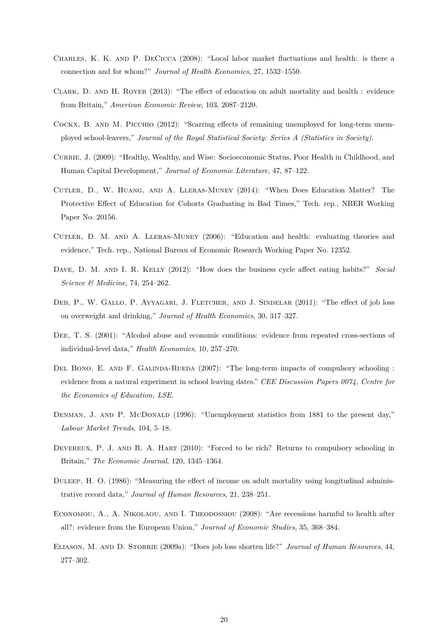- <span id="page-20-4"></span>Charles, K. K. and P. DeCicca (2008): "Local labor market fluctuations and health: is there a connection and for whom?" *Journal of Health Economics*, 27, 1532–1550.
- <span id="page-20-11"></span>Clark, D. and H. Royer (2013): "The effect of education on adult mortality and health : evidence from Britain," *American Economic Review*, 103, 2087–2120.
- Cockx, B. and M. Picchio (2012): "Scarring effects of remaining unemployed for long-term unemployed school-leavers," *Journal of the Royal Statistical Society: Series A (Statistics in Society)*.
- <span id="page-20-0"></span>Currie, J. (2009): "Healthy, Wealthy, and Wise: Socioeconomic Status, Poor Health in Childhood, and Human Capital Development," *Journal of Economic Literature*, 47, 87–122.
- <span id="page-20-8"></span>Cutler, D., W. Huang, and A. Lleras-Muney (2014): "When Does Education Matter? The Protective Effect of Education for Cohorts Graduating in Bad Times," Tech. rep., NBER Working Paper No. 20156.
- <span id="page-20-9"></span>CUTLER, D. M. AND A. LLERAS-MUNEY (2006): "Education and health: evaluating theories and evidence," Tech. rep., National Bureau of Economic Research Working Paper No. 12352.
- <span id="page-20-5"></span>Dave, D. M. and I. R. Kelly (2012): "How does the business cycle affect eating habits?" *Social Science & Medicine*, 74, 254–262.
- <span id="page-20-2"></span>DEB, P., W. GALLO, P. AYYAGARI, J. FLETCHER, AND J. SINDELAR (2011): "The effect of job loss on overweight and drinking," *Journal of Health Economics*, 30, 317–327.
- <span id="page-20-6"></span>DEE, T. S. (2001): "Alcohol abuse and economic conditions: evidence from repeated cross-sections of individual-level data," *Health Economics*, 10, 257–270.
- <span id="page-20-10"></span>DEL BONO, E. AND F. GALINDA-RUEDA (2007): "The long-term impacts of compulsory schooling : evidence from a natural experiment in school leaving dates." *CEE Discussion Papers 0074, Centre for the Economics of Education, LSE.*
- <span id="page-20-13"></span>DENMAN, J. AND P. MCDONALD (1996): "Unemployment statistics from 1881 to the present day," *Labour Market Trends*, 104, 5–18.
- <span id="page-20-12"></span>DEVEREUX, P. J. AND R. A. HART (2010): "Forced to be rich? Returns to compulsory schooling in Britain," *The Economic Journal*, 120, 1345–1364.
- <span id="page-20-1"></span>Duleep, H. O. (1986): "Measuring the effect of income on adult mortality using longitudinal administrative record data," *Journal of Human Resources*, 21, 238–251.
- <span id="page-20-7"></span>ECONOMOU, A., A. NIKOLAOU, AND I. THEODOSSIOU (2008): "Are recessions harmful to health after all?: evidence from the European Union," *Journal of Economic Studies*, 35, 368–384.
- <span id="page-20-3"></span>ELIASON, M. AND D. STORRIE (2009a): "Does job loss shorten life?" *Journal of Human Resources*, 44, 277–302.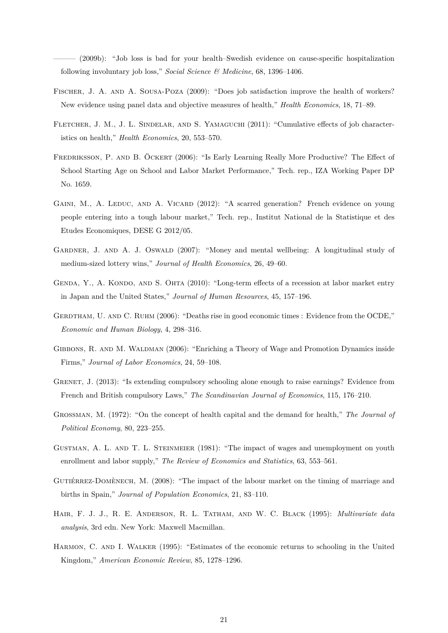——— (2009b): "Job loss is bad for your health–Swedish evidence on cause-specific hospitalization following involuntary job loss," *Social Science & Medicine*, 68, 1396–1406.

- <span id="page-21-5"></span>Fischer, J. A. and A. Sousa-Poza (2009): "Does job satisfaction improve the health of workers? New evidence using panel data and objective measures of health," *Health Economics*, 18, 71–89.
- <span id="page-21-6"></span>FLETCHER, J. M., J. L. SINDELAR, AND S. YAMAGUCHI (2011): "Cumulative effects of job characteristics on health," *Health Economics*, 20, 553–570.
- FREDRIKSSON, P. AND B. ÖCKERT (2006): "Is Early Learning Really More Productive? The Effect of School Starting Age on School and Labor Market Performance," Tech. rep., IZA Working Paper DP No. 1659.
- <span id="page-21-0"></span>GAINI, M., A. LEDUC, AND A. VICARD (2012): "A scarred generation? French evidence on young people entering into a tough labour market," Tech. rep., Institut National de la Statistique et des Etudes Economiques, DESE G 2012/05.
- <span id="page-21-3"></span>GARDNER, J. AND A. J. OSWALD (2007): "Money and mental wellbeing: A longitudinal study of medium-sized lottery wins," *Journal of Health Economics*, 26, 49–60.
- <span id="page-21-1"></span>GENDA, Y., A. KONDO, AND S. OHTA (2010): "Long-term effects of a recession at labor market entry in Japan and the United States," *Journal of Human Resources*, 45, 157–196.
- <span id="page-21-7"></span>GERDTHAM, U. AND C. RUHM (2006): "Deaths rise in good economic times : Evidence from the OCDE," *Economic and Human Biology*, 4, 298–316.
- <span id="page-21-2"></span>GIBBONS, R. AND M. WALDMAN (2006): "Enriching a Theory of Wage and Promotion Dynamics inside Firms," *Journal of Labor Economics*, 24, 59–108.
- <span id="page-21-10"></span>GRENET, J. (2013): "Is extending compulsory schooling alone enough to raise earnings? Evidence from French and British compulsory Laws," *The Scandinavian Journal of Economics*, 115, 176–210.
- <span id="page-21-4"></span>Grossman, M. (1972): "On the concept of health capital and the demand for health," *The Journal of Political Economy*, 80, 223–255.
- <span id="page-21-8"></span>GUSTMAN, A. L. AND T. L. STEINMEIER (1981): "The impact of wages and unemployment on youth enrollment and labor supply," *The Review of Economics and Statistics*, 63, 553–561.
- <span id="page-21-9"></span>GUTIÉRREZ-DOMÈNECH, M. (2008): "The impact of the labour market on the timing of marriage and births in Spain," *Journal of Population Economics*, 21, 83–110.
- <span id="page-21-12"></span>Hair, F. J. J., R. E. Anderson, R. L. Tatham, and W. C. Black (1995): *Multivariate data analysis*, 3rd edn. New York: Maxwell Macmillan.
- <span id="page-21-11"></span>HARMON, C. AND I. WALKER (1995): "Estimates of the economic returns to schooling in the United Kingdom," *American Economic Review*, 85, 1278–1296.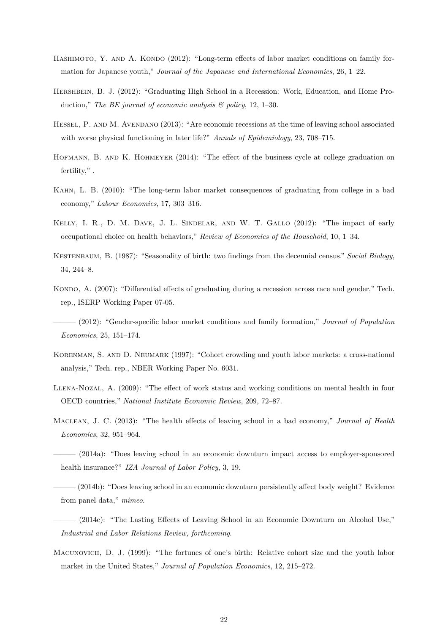- <span id="page-22-9"></span>HASHIMOTO, Y. AND A. KONDO (2012): "Long-term effects of labor market conditions on family formation for Japanese youth," *Journal of the Japanese and International Economies*, 26, 1–22.
- <span id="page-22-2"></span>HERSHBEIN, B. J. (2012): "Graduating High School in a Recession: Work, Education, and Home Production," *The BE journal of economic analysis & policy*, 12, 1–30.
- <span id="page-22-4"></span>Hessel, P. and M. Avendano (2013): "Are economic recessions at the time of leaving school associated with worse physical functioning in later life?" *Annals of Epidemiology*, 23, 708–715.
- <span id="page-22-10"></span>HOFMANN, B. AND K. HOHMEYER (2014): "The effect of the business cycle at college graduation on fertility,".
- <span id="page-22-0"></span>Kahn, L. B. (2010): "The long-term labor market consequences of graduating from college in a bad economy," *Labour Economics*, 17, 303–316.
- Kelly, I. R., D. M. Dave, J. L. Sindelar, and W. T. Gallo (2012): "The impact of early occupational choice on health behaviors," *Review of Economics of the Household*, 10, 1–34.
- <span id="page-22-14"></span>Kestenbaum, B. (1987): "Seasonality of birth: two findings from the decennial census." *Social Biology*, 34, 244–8.
- <span id="page-22-1"></span>KONDO, A. (2007): "Differential effects of graduating during a recession across race and gender," Tech. rep., ISERP Working Paper 07-05.
- <span id="page-22-11"></span>——— (2012): "Gender-specific labor market conditions and family formation," *Journal of Population Economics*, 25, 151–174.
- <span id="page-22-12"></span>KORENMAN, S. AND D. NEUMARK (1997): "Cohort crowding and youth labor markets: a cross-national analysis," Tech. rep., NBER Working Paper No. 6031.
- <span id="page-22-3"></span>Llena-Nozal, A. (2009): "The effect of work status and working conditions on mental health in four OECD countries," *National Institute Economic Review*, 209, 72–87.
- <span id="page-22-5"></span>Maclean, J. C. (2013): "The health effects of leaving school in a bad economy," *Journal of Health Economics*, 32, 951–964.
- <span id="page-22-6"></span> $(2014a)$ : "Does leaving school in an economic downturn impact access to employer-sponsored health insurance?" *IZA Journal of Labor Policy*, 3, 19.
- <span id="page-22-7"></span>– (2014b): "Does leaving school in an economic downturn persistently affect body weight? Evidence from panel data," *mimeo*.
- <span id="page-22-8"></span>——— (2014c): "The Lasting Effects of Leaving School in an Economic Downturn on Alcohol Use," *Industrial and Labor Relations Review, forthcoming*.
- <span id="page-22-13"></span>Macunovich, D. J. (1999): "The fortunes of one's birth: Relative cohort size and the youth labor market in the United States," *Journal of Population Economics*, 12, 215–272.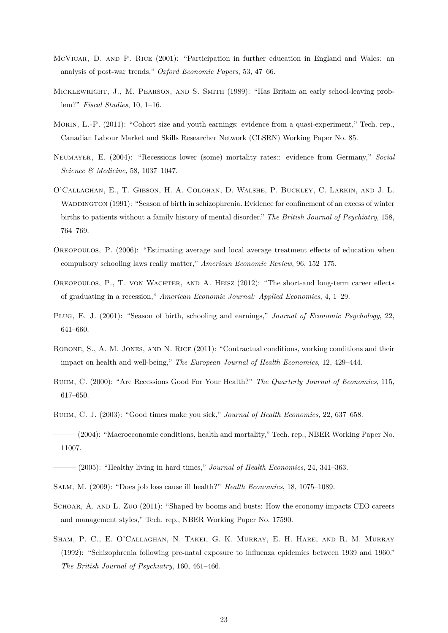- <span id="page-23-10"></span>MCVICAR, D. AND P. RICE (2001): "Participation in further education in England and Wales: an analysis of post-war trends," *Oxford Economic Papers*, 53, 47–66.
- <span id="page-23-9"></span>Micklewright, J., M. Pearson, and S. Smith (1989): "Has Britain an early school-leaving problem?" *Fiscal Studies*, 10, 1–16.
- <span id="page-23-13"></span>Morin, L.-P. (2011): "Cohort size and youth earnings: evidence from a quasi-experiment," Tech. rep., Canadian Labour Market and Skills Researcher Network (CLSRN) Working Paper No. 85.
- <span id="page-23-4"></span>Neumayer, E. (2004): "Recessions lower (some) mortality rates:: evidence from Germany," *Social Science & Medicine*, 58, 1037–1047.
- O'Callaghan, E., T. Gibson, H. A. Colohan, D. Walshe, P. Buckley, C. Larkin, and J. L. WADDINGTON (1991): "Season of birth in schizophrenia. Evidence for confinement of an excess of winter births to patients without a family history of mental disorder." *The British Journal of Psychiatry*, 158, 764–769.
- <span id="page-23-11"></span>Oreopoulos, P. (2006): "Estimating average and local average treatment effects of education when compulsory schooling laws really matter," *American Economic Review*, 96, 152–175.
- <span id="page-23-0"></span>Oreopoulos, P., T. von Wachter, and A. Heisz (2012): "The short-and long-term career effects of graduating in a recession," *American Economic Journal: Applied Economics*, 4, 1–29.
- <span id="page-23-12"></span>Plug, E. J. (2001): "Season of birth, schooling and earnings," *Journal of Economic Psychology*, 22, 641–660.
- <span id="page-23-3"></span>Robone, S., A. M. Jones, and N. Rice (2011): "Contractual conditions, working conditions and their impact on health and well-being," *The European Journal of Health Economics*, 12, 429–444.
- <span id="page-23-5"></span>Ruhm, C. (2000): "Are Recessions Good For Your Health?" *The Quarterly Journal of Economics*, 115, 617–650.
- <span id="page-23-6"></span>Ruhm, C. J. (2003): "Good times make you sick," *Journal of Health Economics*, 22, 637–658.
- <span id="page-23-7"></span>——— (2004): "Macroeconomic conditions, health and mortality," Tech. rep., NBER Working Paper No. 11007.
- <span id="page-23-8"></span>——— (2005): "Healthy living in hard times," *Journal of Health Economics*, 24, 341–363.
- <span id="page-23-2"></span>Salm, M. (2009): "Does job loss cause ill health?" *Health Economics*, 18, 1075–1089.
- <span id="page-23-1"></span>SCHOAR, A. AND L. ZUO (2011): "Shaped by booms and busts: How the economy impacts CEO careers and management styles," Tech. rep., NBER Working Paper No. 17590.
- Sham, P. C., E. O'Callaghan, N. Takei, G. K. Murray, E. H. Hare, and R. M. Murray (1992): "Schizophrenia following pre-natal exposure to influenza epidemics between 1939 and 1960." *The British Journal of Psychiatry*, 160, 461–466.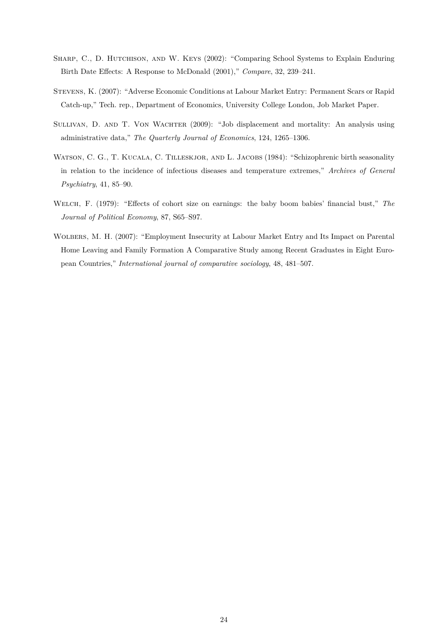- <span id="page-24-3"></span>Sharp, C., D. Hutchison, and W. Keys (2002): "Comparing School Systems to Explain Enduring Birth Date Effects: A Response to McDonald (2001)," *Compare*, 32, 239–241.
- <span id="page-24-0"></span>Stevens, K. (2007): "Adverse Economic Conditions at Labour Market Entry: Permanent Scars or Rapid Catch-up," Tech. rep., Department of Economics, University College London, Job Market Paper.
- <span id="page-24-1"></span>SULLIVAN, D. AND T. VON WACHTER (2009): "Job displacement and mortality: An analysis using administrative data," *The Quarterly Journal of Economics*, 124, 1265–1306.
- WATSON, C. G., T. KUCALA, C. TILLESKJOR, AND L. JACOBS (1984): "Schizophrenic birth seasonality in relation to the incidence of infectious diseases and temperature extremes," *Archives of General Psychiatry*, 41, 85–90.
- <span id="page-24-4"></span>Welch, F. (1979): "Effects of cohort size on earnings: the baby boom babies' financial bust," *The Journal of Political Economy*, 87, S65–S97.
- <span id="page-24-2"></span>Wolbers, M. H. (2007): "Employment Insecurity at Labour Market Entry and Its Impact on Parental Home Leaving and Family Formation A Comparative Study among Recent Graduates in Eight European Countries," *International journal of comparative sociology*, 48, 481–507.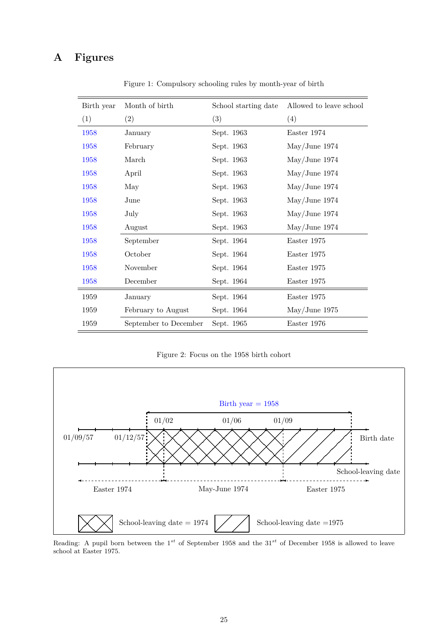# <span id="page-25-0"></span>**A Figures**

| Birth year | Month of birth        | School starting date | Allowed to leave school |
|------------|-----------------------|----------------------|-------------------------|
| (1)        | (2)                   | (3)                  | (4)                     |
| 1958       | January               | Sept. 1963           | Easter 1974             |
| 1958       | February              | Sept. 1963           | $\text{May/June}$ 1974  |
| 1958       | March                 | Sept. 1963           | May/June 1974           |
| 1958       | April                 | Sept. 1963           | $\text{May/June}$ 1974  |
| 1958       | May                   | Sept. 1963           | May/June 1974           |
| 1958       | June                  | Sept. 1963           | May/June 1974           |
| 1958       | July                  | Sept. 1963           | May/June 1974           |
| 1958       | August                | Sept. 1963           | May/June 1974           |
| 1958       | September             | Sept. 1964           | Easter 1975             |
| 1958       | October               | Sept. 1964           | Easter 1975             |
| 1958       | November              | Sept. 1964           | Easter 1975             |
| 1958       | December              | Sept. 1964           | Easter 1975             |
| 1959       | January               | Sept. 1964           | Easter 1975             |
| 1959       | February to August    | Sept. 1964           | May/June 1975           |
| 1959       | September to December | Sept. 1965           | Easter 1976             |

Figure 1: Compulsory schooling rules by month-year of birth

Figure 2: Focus on the 1958 birth cohort

<span id="page-25-1"></span>

Reading: A pupil born between the 1 *st* of September 1958 and the 31*st* of December 1958 is allowed to leave school at Easter 1975.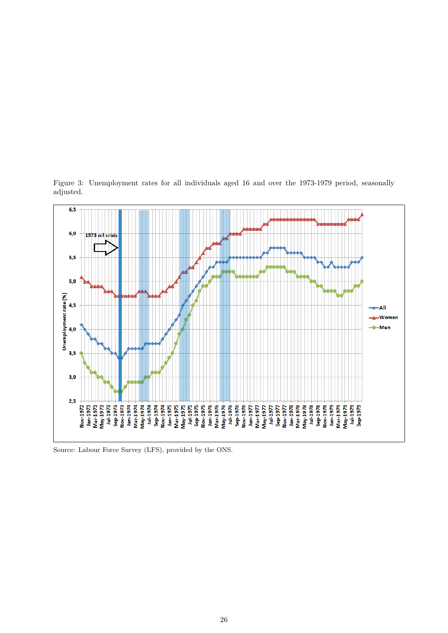

<span id="page-26-0"></span>Figure 3: Unemployment rates for all individuals aged 16 and over the 1973-1979 period, seasonally adjusted.

Source: Labour Force Survey (LFS), provided by the ONS.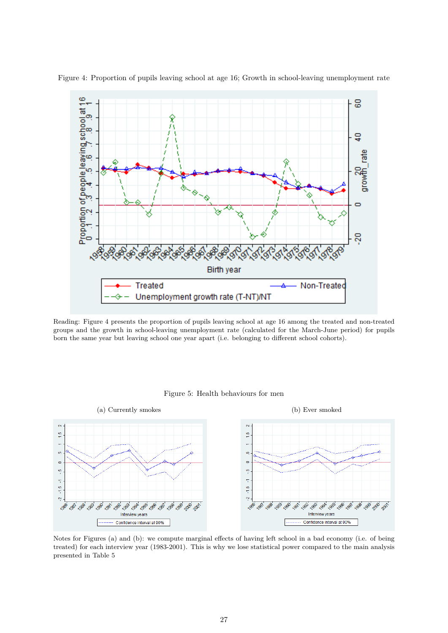

<span id="page-27-0"></span>Figure 4: Proportion of pupils leaving school at age 16; Growth in school-leaving unemployment rate

Reading: Figure [4](#page-27-0) presents the proportion of pupils leaving school at age 16 among the treated and non-treated groups and the growth in school-leaving unemployment rate (calculated for the March-June period) for pupils born the same year but leaving school one year apart (i.e. belonging to different school cohorts).



<span id="page-27-1"></span>

Notes for Figures (a) and (b): we compute marginal effects of having left school in a bad economy (i.e. of being treated) for each interview year (1983-2001). This is why we lose statistical power compared to the main analysis presented in Table [5](#page-32-0)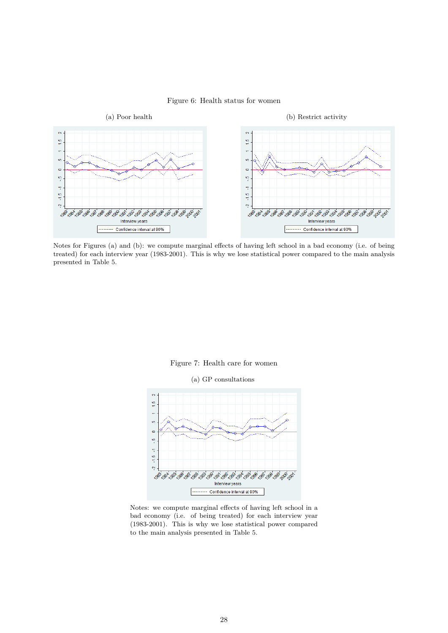### Figure 6: Health status for women

<span id="page-28-1"></span>

Notes for Figures (a) and (b): we compute marginal effects of having left school in a bad economy (i.e. of being treated) for each interview year (1983-2001). This is why we lose statistical power compared to the main analysis presented in Table [5.](#page-32-0)



(a) GP consultations

<span id="page-28-0"></span>

Notes: we compute marginal effects of having left school in a bad economy (i.e. of being treated) for each interview year (1983-2001). This is why we lose statistical power compared to the main analysis presented in Table [5.](#page-32-0)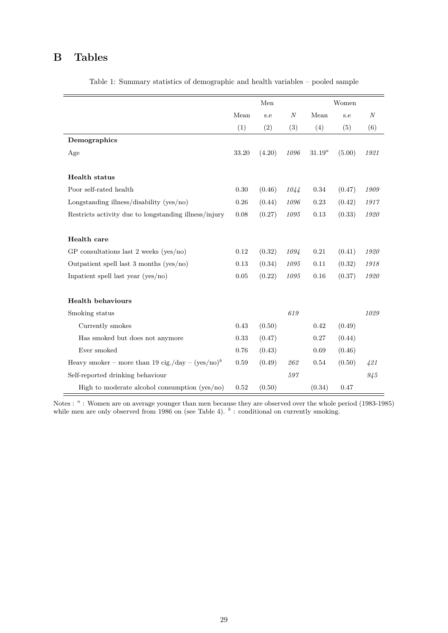# **B Tables**

<span id="page-29-0"></span>

|                                                       |          | Men    | Women            |           |        |                  |
|-------------------------------------------------------|----------|--------|------------------|-----------|--------|------------------|
|                                                       | Mean     | s.e    | $\boldsymbol{N}$ | Mean      | s.e    | $\boldsymbol{N}$ |
|                                                       | (1)      | (2)    | (3)              | (4)       | (5)    | (6)              |
| Demographics                                          |          |        |                  |           |        |                  |
| Age                                                   | 33.20    | (4.20) | 1096             | $31.19^a$ | (5.00) | 1921             |
|                                                       |          |        |                  |           |        |                  |
| Health status                                         |          |        |                  |           |        |                  |
| Poor self-rated health                                | 0.30     | (0.46) | 1044             | 0.34      | (0.47) | 1909             |
| Longstanding illness/disability (yes/no)              | 0.26     | (0.44) | 1096             | 0.23      | (0.42) | 1917             |
| Restricts activity due to longstanding illness/injury | 0.08     | (0.27) | 1095             | 0.13      | (0.33) | 1920             |
|                                                       |          |        |                  |           |        |                  |
| Health care                                           |          |        |                  |           |        |                  |
| GP consultations last $2$ weeks (yes/no)              | 0.12     | (0.32) | 1094             | 0.21      | (0.41) | 1920             |
| Outpatient spell last 3 months (yes/no)               | 0.13     | (0.34) | 1095             | 0.11      | (0.32) | 1918             |
| Inpatient spell last year $(yes/no)$                  | $0.05\,$ | (0.22) | 1095             | 0.16      | (0.37) | 1920             |
|                                                       |          |        |                  |           |        |                  |
| <b>Health behaviours</b>                              |          |        |                  |           |        |                  |
| Smoking status                                        |          |        | 619              |           |        | 1029             |
| Currently smokes                                      | 0.43     | (0.50) |                  | 0.42      | (0.49) |                  |
| Has smoked but does not anymore                       | 0.33     | (0.47) |                  | 0.27      | (0.44) |                  |
| Ever smoked                                           | 0.76     | (0.43) |                  | 0.69      | (0.46) |                  |
| Heavy smoker – more than 19 cig./day – $(yes/no)^b$   | $0.59\,$ | (0.49) | 262              | 0.54      | (0.50) | 421              |
| Self-reported drinking behaviour                      |          |        | $597\,$          |           |        | 945              |
| High to moderate alcohol consumption (yes/no)         | 0.52     | (0.50) |                  | (0.34)    | 0.47   |                  |

Table 1: Summary statistics of demographic and health variables – pooled sample

Notes : <sup>*a*</sup> : Women are on average younger than men because they are observed over the whole period (1983-1985) while men are only observed from 1986 on (see Table [4\)](#page-31-0). <sup>b</sup>: conditional on currently smoking.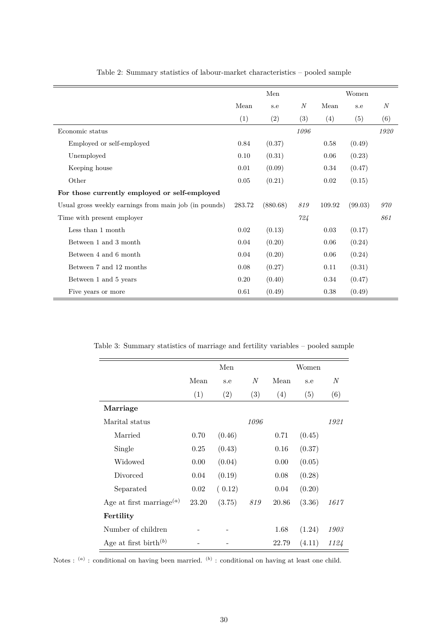<span id="page-30-0"></span>

|                                                       |        | Men      |                  |        | Women   |                  |
|-------------------------------------------------------|--------|----------|------------------|--------|---------|------------------|
|                                                       | Mean   | s.e      | $\boldsymbol{N}$ | Mean   | s.e     | $\boldsymbol{N}$ |
|                                                       | (1)    | (2)      | (3)              | (4)    | (5)     | (6)              |
| Economic status                                       |        |          | 1096             |        |         | 1920             |
| Employed or self-employed                             | 0.84   | (0.37)   |                  | 0.58   | (0.49)  |                  |
| Unemployed                                            | 0.10   | (0.31)   |                  | 0.06   | (0.23)  |                  |
| Keeping house                                         | 0.01   | (0.09)   |                  | 0.34   | (0.47)  |                  |
| Other                                                 | 0.05   | (0.21)   |                  | 0.02   | (0.15)  |                  |
| For those currently employed or self-employed         |        |          |                  |        |         |                  |
| Usual gross weekly earnings from main job (in pounds) | 283.72 | (880.68) | 819              | 109.92 | (99.03) | 970              |
| Time with present employer                            |        |          | 724              |        |         | 861              |
| Less than 1 month                                     | 0.02   | (0.13)   |                  | 0.03   | (0.17)  |                  |
| Between 1 and 3 month                                 | 0.04   | (0.20)   |                  | 0.06   | (0.24)  |                  |
| Between 4 and 6 month                                 | 0.04   | (0.20)   |                  | 0.06   | (0.24)  |                  |
| Between 7 and 12 months                               | 0.08   | (0.27)   |                  | 0.11   | (0.31)  |                  |
| Between 1 and 5 years                                 | 0.20   | (0.40)   |                  | 0.34   | (0.47)  |                  |
| Five years or more                                    | 0.61   | (0.49)   |                  | 0.38   | (0.49)  |                  |

Table 2: Summary statistics of labour-market characteristics – pooled sample

<span id="page-30-1"></span>Table 3: Summary statistics of marriage and fertility variables – pooled sample

|                                      | Men   |        |                  |       | Women  |      |
|--------------------------------------|-------|--------|------------------|-------|--------|------|
|                                      | Mean  | s.e    | $\boldsymbol{N}$ | Mean  | s.e    | N    |
|                                      | (1)   | (2)    | (3)              | (4)   | (5)    | (6)  |
| Marriage                             |       |        |                  |       |        |      |
| Marital status                       |       |        | 1096             |       |        | 1921 |
| Married                              | 0.70  | (0.46) |                  | 0.71  | (0.45) |      |
| Single                               | 0.25  | (0.43) |                  | 0.16  | (0.37) |      |
| Widowed                              | 0.00  | (0.04) |                  | 0.00  | (0.05) |      |
| Divorced                             | 0.04  | (0.19) |                  | 0.08  | (0.28) |      |
| Separated                            | 0.02  | (0.12) |                  | 0.04  | (0.20) |      |
| Age at first marriage <sup>(a)</sup> | 23.20 | (3.75) | 819              | 20.86 | (3.36) | 1617 |
| Fertility                            |       |        |                  |       |        |      |
| Number of children                   |       |        |                  | 1.68  | (1.24) | 1903 |
| Age at first birth <sup>(b)</sup>    |       |        |                  | 22.79 | (4.11) | 1124 |

Notes : <sup>(a)</sup> : conditional on having been married. <sup>(b)</sup> : conditional on having at least one child.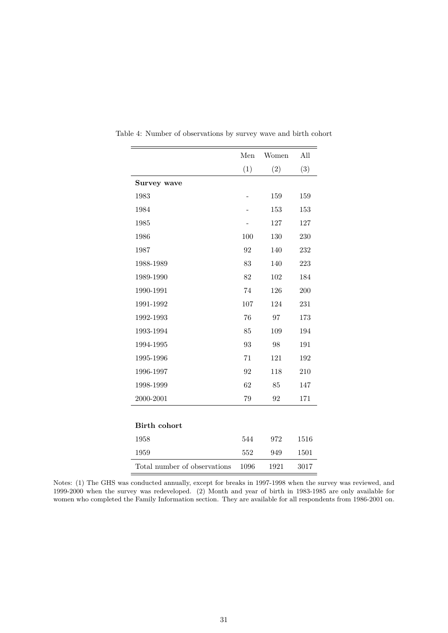|                              | Men  | Women | All  |
|------------------------------|------|-------|------|
|                              | (1)  | (2)   | (3)  |
| Survey wave                  |      |       |      |
| 1983                         |      | 159   | 159  |
| 1984                         |      | 153   | 153  |
| 1985                         |      | 127   | 127  |
| 1986                         | 100  | 130   | 230  |
| 1987                         | 92   | 140   | 232  |
| 1988-1989                    | 83   | 140   | 223  |
| 1989-1990                    | 82   | 102   | 184  |
| 1990-1991                    | 74   | 126   | 200  |
| 1991-1992                    | 107  | 124   | 231  |
| 1992-1993                    | 76   | 97    | 173  |
| 1993-1994                    | 85   | 109   | 194  |
| 1994-1995                    | 93   | 98    | 191  |
| 1995-1996                    | 71   | 121   | 192  |
| 1996-1997                    | 92   | 118   | 210  |
| 1998-1999                    | 62   | 85    | 147  |
| 2000-2001                    | 79   | 92    | 171  |
|                              |      |       |      |
| <b>Birth cohort</b>          |      |       |      |
| 1958                         | 544  | 972   | 1516 |
| 1959                         | 552  | 949   | 1501 |
| Total number of observations | 1096 | 1921  | 3017 |

<span id="page-31-0"></span>Table 4: Number of observations by survey wave and birth cohort

Notes: (1) The GHS was conducted annually, except for breaks in 1997-1998 when the survey was reviewed, and 1999-2000 when the survey was redeveloped. (2) Month and year of birth in 1983-1985 are only available for women who completed the Family Information section. They are available for all respondents from 1986-2001 on.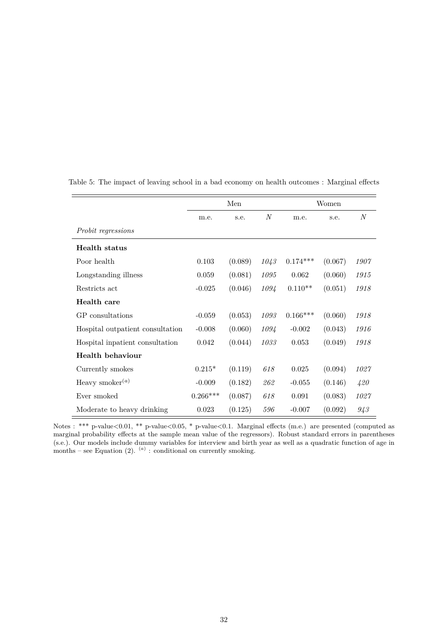|                                  | Men        |         |                | Women      |         |                  |
|----------------------------------|------------|---------|----------------|------------|---------|------------------|
|                                  | m.e.       | s.e.    | $\overline{N}$ | m.e.       | s.e.    | $\boldsymbol{N}$ |
| Probit regressions               |            |         |                |            |         |                  |
| <b>Health</b> status             |            |         |                |            |         |                  |
| Poor health                      | 0.103      | (0.089) | 1043           | $0.174***$ | (0.067) | 1907             |
| Longstanding illness             | 0.059      | (0.081) | 1095           | 0.062      | (0.060) | 1915             |
| Restricts act                    | $-0.025$   | (0.046) | 1094           | $0.110**$  | (0.051) | 1918             |
| Health care                      |            |         |                |            |         |                  |
| GP consultations                 | $-0.059$   | (0.053) | 1093           | $0.166***$ | (0.060) | 1918             |
| Hospital outpatient consultation | $-0.008$   | (0.060) | 1094           | $-0.002$   | (0.043) | 1916             |
| Hospital inpatient consultation  | 0.042      | (0.044) | 1033           | 0.053      | (0.049) | 1918             |
| <b>Health behaviour</b>          |            |         |                |            |         |                  |
| Currently smokes                 | $0.215*$   | (0.119) | 618            | 0.025      | (0.094) | 1027             |
| Heavy smoker $^{(a)}$            | $-0.009$   | (0.182) | 262            | $-0.055$   | (0.146) | 420              |
| Ever smoked                      | $0.266***$ | (0.087) | 618            | 0.091      | (0.083) | 1027             |
| Moderate to heavy drinking       | 0.023      | (0.125) | 596            | $-0.007$   | (0.092) | 943              |

<span id="page-32-0"></span>Table 5: The impact of leaving school in a bad economy on health outcomes : Marginal effects

Notes : \*\*\* p-value<0.01, \*\* p-value<0.05, \* p-value<0.1. Marginal effects (m.e.) are presented (computed as marginal probability effects at the sample mean value of the regressors). Robust standard errors in parentheses (s.e.). Our models include dummy variables for interview and birth year as well as a quadratic function of age in months – see Equation  $(2)$ .  $(a)$ : conditional on currently smoking.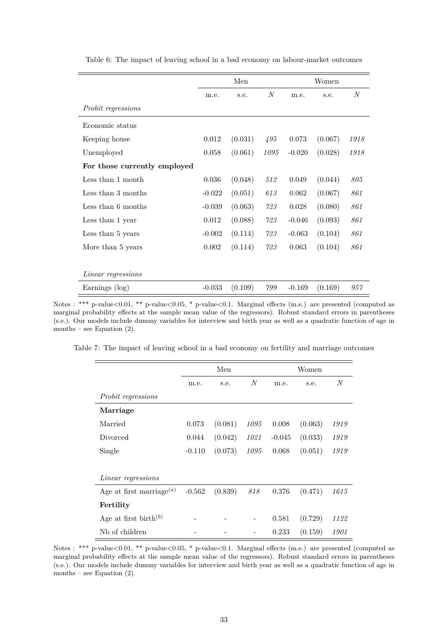|                              | Men      |         |      |          |         |                  |
|------------------------------|----------|---------|------|----------|---------|------------------|
|                              | m.e.     | s.e.    | N    | m.e.     | s.e.    | $\boldsymbol{N}$ |
| <i>Probit regressions</i>    |          |         |      |          |         |                  |
| Economic status              |          |         |      |          |         |                  |
| Keeping house                | 0.012    | (0.031) | 495  | 0.073    | (0.067) | 1918             |
| Unemployed                   | 0.058    | (0.061) | 1095 | $-0.020$ | (0.028) | 1918             |
| For those currently employed |          |         |      |          |         |                  |
| Less than 1 month            | 0.036    | (0.048) | 512  | 0.049    | (0.044) | 805              |
| Less than 3 months           | $-0.022$ | (0.051) | 613  | 0.062    | (0.067) | 861              |
| Less than 6 months           | $-0.039$ | (0.063) | 723  | 0.028    | (0.080) | 861              |
| Less than 1 year             | 0.012    | (0.088) | 723  | $-0.046$ | (0.093) | 861              |
| Less than 5 years            | $-0.002$ | (0.114) | 723  | $-0.063$ | (0.104) | 861              |
| More than 5 years            | 0.002    | (0.114) | 723  | 0.063    | (0.104) | 861              |
|                              |          |         |      |          |         |                  |
| Linear regressions           |          |         |      |          |         |                  |
| Earnings (log)               | $-0.033$ | (0.109) | 799  | $-0.169$ | (0.169) | 957              |

<span id="page-33-0"></span>Table 6: The impact of leaving school in a bad economy on labour-market outcomes

Notes : \*\*\* p-value<0.01, \*\* p-value<0.05, \* p-value<0.1. Marginal effects (m.e.) are presented (computed as marginal probability effects at the sample mean value of the regressors). Robust standard errors in parentheses (s.e.). Our models include dummy variables for interview and birth year as well as a quadratic function of age in months – see Equation  $(2)$ .

<span id="page-33-1"></span>Table 7: The impact of leaving school in a bad economy on fertility and marriage outcomes

|                                      |          | Men     |                | Women    |         |                |
|--------------------------------------|----------|---------|----------------|----------|---------|----------------|
|                                      | m.e.     | s.e.    | $\overline{N}$ | m.e.     | s.e.    | $\overline{N}$ |
| <i>Probit regressions</i>            |          |         |                |          |         |                |
| Marriage                             |          |         |                |          |         |                |
| Married                              | 0.073    | (0.081) | 1095           | 0.008    | (0.063) | 1919           |
| Divorced                             | 0.044    | (0.042) | 1021           | $-0.045$ | (0.033) | 1919           |
| Single                               | $-0.110$ | (0.073) | 1095           | 0.068    | (0.051) | 1919           |
|                                      |          |         |                |          |         |                |
| <i>Linear regressions</i>            |          |         |                |          |         |                |
| Age at first marriage <sup>(a)</sup> | $-0.562$ | (0.839) | 818            | 0.376    | (0.471) | 1615           |
| Fertility                            |          |         |                |          |         |                |
| Age at first birth $^{(b)}$          |          |         |                | 0.581    | (0.729) | 1122           |
| Nb of children                       |          |         |                | 0.233    | (0.159) | 1901           |

Notes : \*\*\* p-value<0.01, \*\* p-value<0.05, \* p-value<0.1. Marginal effects (m.e.) are presented (computed as marginal probability effects at the sample mean value of the regressors). Robust standard errors in parentheses (s.e.). Our models include dummy variables for interview and birth year as well as a quadratic function of age in months – see Equation  $(2)$ .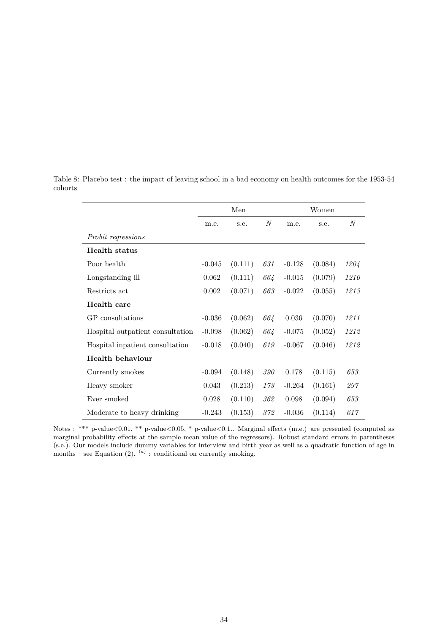|                                  | Men      |         |                  | Women    |         |              |
|----------------------------------|----------|---------|------------------|----------|---------|--------------|
|                                  | m.e.     | s.e.    | $\boldsymbol{N}$ | m.e.     | s.e.    | $\mathcal N$ |
| <i>Probit regressions</i>        |          |         |                  |          |         |              |
| <b>Health</b> status             |          |         |                  |          |         |              |
| Poor health                      | $-0.045$ | (0.111) | 631              | $-0.128$ | (0.084) | 1204         |
| Longstanding ill                 | 0.062    | (0.111) | 664              | $-0.015$ | (0.079) | 1210         |
| Restricts act                    | 0.002    | (0.071) | 663              | $-0.022$ | (0.055) | 1213         |
| Health care                      |          |         |                  |          |         |              |
| GP consultations                 | $-0.036$ | (0.062) | 664              | 0.036    | (0.070) | 1211         |
| Hospital outpatient consultation | $-0.098$ | (0.062) | 664              | $-0.075$ | (0.052) | 1212         |
| Hospital inpatient consultation  | $-0.018$ | (0.040) | 619              | $-0.067$ | (0.046) | 1212         |
| <b>Health behaviour</b>          |          |         |                  |          |         |              |
| Currently smokes                 | $-0.094$ | (0.148) | 390              | 0.178    | (0.115) | 653          |
| Heavy smoker                     | 0.043    | (0.213) | 173              | $-0.264$ | (0.161) | 297          |
| Ever smoked                      | 0.028    | (0.110) | 362              | 0.098    | (0.094) | 653          |
| Moderate to heavy drinking       | $-0.243$ | (0.153) | 372              | $-0.036$ | (0.114) | 617          |

<span id="page-34-0"></span>Table 8: Placebo test : the impact of leaving school in a bad economy on health outcomes for the 1953-54 cohorts

Notes : \*\*\* p-value<0.01, \*\* p-value<0.05, \* p-value<0.1.. Marginal effects (m.e.) are presented (computed as marginal probability effects at the sample mean value of the regressors). Robust standard errors in parentheses (s.e.). Our models include dummy variables for interview and birth year as well as a quadratic function of age in months – see Equation [\(2\)](#page-9-0).  $(a)$ : conditional on currently smoking.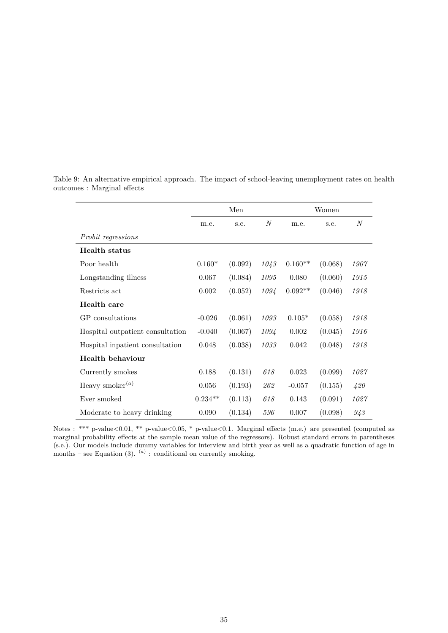|                                  | Men       |         |                  | Women     |         |         |
|----------------------------------|-----------|---------|------------------|-----------|---------|---------|
|                                  | m.e.      | s.e.    | $\boldsymbol{N}$ | m.e.      | s.e.    | $\it N$ |
| Probit regressions               |           |         |                  |           |         |         |
| <b>Health</b> status             |           |         |                  |           |         |         |
| Poor health                      | $0.160*$  | (0.092) | 1043             | $0.160**$ | (0.068) | 1907    |
| Longstanding illness             | 0.067     | (0.084) | 1095             | 0.080     | (0.060) | 1915    |
| Restricts act                    | 0.002     | (0.052) | 1094             | $0.092**$ | (0.046) | 1918    |
| Health care                      |           |         |                  |           |         |         |
| GP consultations                 | $-0.026$  | (0.061) | 1093             | $0.105*$  | (0.058) | 1918    |
| Hospital outpatient consultation | $-0.040$  | (0.067) | 1094             | 0.002     | (0.045) | 1916    |
| Hospital inpatient consultation  | 0.048     | (0.038) | 1033             | 0.042     | (0.048) | 1918    |
| Health behaviour                 |           |         |                  |           |         |         |
| Currently smokes                 | 0.188     | (0.131) | 618              | 0.023     | (0.099) | 1027    |
| Heavy smoker $^{(a)}$            | 0.056     | (0.193) | 262              | $-0.057$  | (0.155) | 420     |
| Ever smoked                      | $0.234**$ | (0.113) | 618              | 0.143     | (0.091) | 1027    |
| Moderate to heavy drinking       | 0.090     | (0.134) | 596              | 0.007     | (0.098) | 943     |

<span id="page-35-0"></span>Table 9: An alternative empirical approach. The impact of school-leaving unemployment rates on health outcomes : Marginal effects

Notes : \*\*\* p-value<0.01, \*\* p-value<0.05, \* p-value<0.1. Marginal effects (m.e.) are presented (computed as marginal probability effects at the sample mean value of the regressors). Robust standard errors in parentheses (s.e.). Our models include dummy variables for interview and birth year as well as a quadratic function of age in months – see Equation [\(3\)](#page-17-1).  $(a)$ : conditional on currently smoking.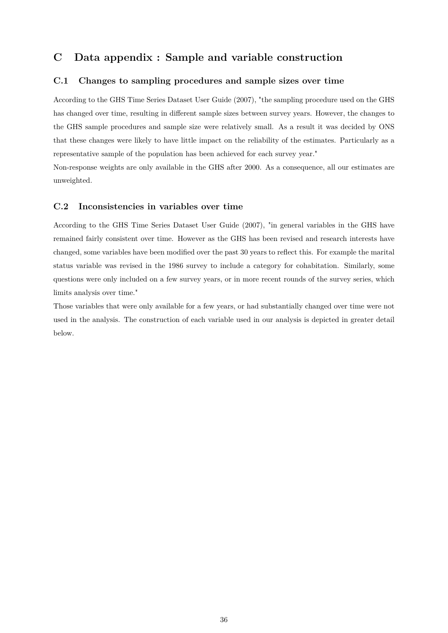# **C Data appendix : Sample and variable construction**

### <span id="page-36-1"></span>**C.1 Changes to sampling procedures and sample sizes over time**

According to the GHS Time Series Dataset User Guide (2007), "the sampling procedure used on the GHS has changed over time, resulting in different sample sizes between survey years. However, the changes to the GHS sample procedures and sample size were relatively small. As a result it was decided by ONS that these changes were likely to have little impact on the reliability of the estimates. Particularly as a representative sample of the population has been achieved for each survey year."

Non-response weights are only available in the GHS after 2000. As a consequence, all our estimates are unweighted.

### <span id="page-36-0"></span>**C.2 Inconsistencies in variables over time**

According to the GHS Time Series Dataset User Guide (2007), "in general variables in the GHS have remained fairly consistent over time. However as the GHS has been revised and research interests have changed, some variables have been modified over the past 30 years to reflect this. For example the marital status variable was revised in the 1986 survey to include a category for cohabitation. Similarly, some questions were only included on a few survey years, or in more recent rounds of the survey series, which limits analysis over time."

Those variables that were only available for a few years, or had substantially changed over time were not used in the analysis. The construction of each variable used in our analysis is depicted in greater detail below.